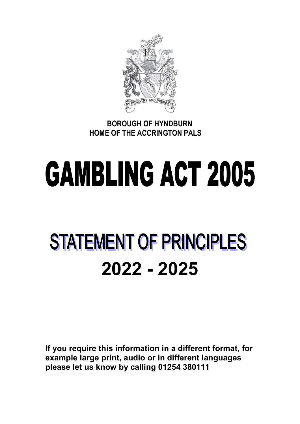

 BOROUGH OF HYNDBURN HOME OF THE ACCRINGTON PALS

# **GAMBLING ACT 2005**

# **STATEMENT OF PRINCIPLES** 2022 - 2025

If you require this information in a different format, for example large print, audio or in different languages please let us know by calling 01254 380111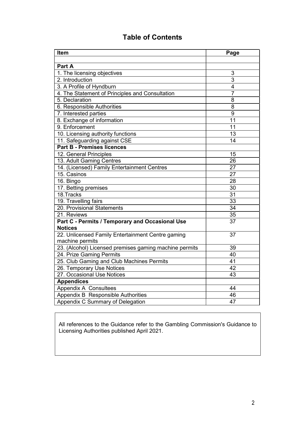# Table of Contents

| Item                                                   | Page            |
|--------------------------------------------------------|-----------------|
|                                                        |                 |
| Part A                                                 |                 |
| 1. The licensing objectives                            | 3               |
| 2. Introduction                                        | $\overline{3}$  |
| 3. A Profile of Hyndburn                               | $\overline{4}$  |
| 4. The Statement of Principles and Consultation        | $\overline{7}$  |
| 5. Declaration                                         | 8               |
| 6. Responsible Authorities                             | 8               |
| 7. Interested parties                                  | $\overline{9}$  |
| 8. Exchange of information                             | 11              |
| 9. Enforcement                                         | 11              |
| 10. Licensing authority functions                      | 13              |
| 11. Safeguarding against CSE                           | 14              |
| <b>Part B - Premises licences</b>                      |                 |
| 12. General Principles                                 | 15              |
| 13. Adult Gaming Centres                               | 26              |
| 14. (Licensed) Family Entertainment Centres            | 27              |
| 15. Casinos                                            | 27              |
| 16. Bingo                                              | 28              |
| 17. Betting premises                                   | 30              |
| 18.Tracks                                              | 31              |
| 19. Travelling fairs                                   | $\overline{33}$ |
| 20. Provisional Statements                             | $\overline{34}$ |
| 21. Reviews                                            | 35              |
| Part C - Permits / Temporary and Occasional Use        | $\overline{37}$ |
| <b>Notices</b>                                         |                 |
| 22. Unlicensed Family Entertainment Centre gaming      | 37              |
| machine permits                                        |                 |
| 23. (Alcohol) Licensed premises gaming machine permits | 39              |
| 24. Prize Gaming Permits                               | 40              |
| 25. Club Gaming and Club Machines Permits              | 41              |
| 26. Temporary Use Notices                              | 42              |
| 27. Occasional Use Notices                             | 43              |
| <b>Appendices</b>                                      |                 |
| Appendix A Consultees                                  | 44              |
| Appendix B Responsible Authorities                     | 46              |
| Appendix C Summary of Delegation                       | 47              |

All references to the Guidance refer to the Gambling Commission's Guidance to Licensing Authorities published April 2021.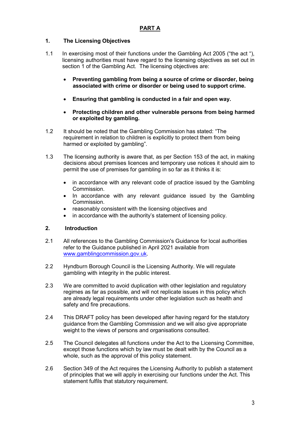#### 1. The Licensing Objectives

- 1.1 In exercising most of their functions under the Gambling Act 2005 ("the act "), licensing authorities must have regard to the licensing objectives as set out in section 1 of the Gambling Act. The licensing objectives are:
	- Preventing gambling from being a source of crime or disorder, being associated with crime or disorder or being used to support crime.
	- Ensuring that gambling is conducted in a fair and open way.
	- Protecting children and other vulnerable persons from being harmed or exploited by gambling.
- 1.2 It should be noted that the Gambling Commission has stated: "The requirement in relation to children is explicitly to protect them from being harmed or exploited by gambling".
- 1.3 The licensing authority is aware that, as per Section 153 of the act, in making decisions about premises licences and temporary use notices it should aim to permit the use of premises for gambling in so far as it thinks it is:
	- in accordance with any relevant code of practice issued by the Gambling Commission.
	- In accordance with any relevant guidance issued by the Gambling **Commission**
	- reasonably consistent with the licensing objectives and
	- in accordance with the authority's statement of licensing policy.

#### 2. Introduction

- 2.1 All references to the Gambling Commission's Guidance for local authorities refer to the Guidance published in April 2021 available from www.gamblingcommission.gov.uk.
- 2.2 Hyndburn Borough Council is the Licensing Authority. We will regulate gambling with integrity in the public interest.
- 2.3 We are committed to avoid duplication with other legislation and regulatory regimes as far as possible, and will not replicate issues in this policy which are already legal requirements under other legislation such as health and safety and fire precautions.
- 2.4 This DRAFT policy has been developed after having regard for the statutory guidance from the Gambling Commission and we will also give appropriate weight to the views of persons and organisations consulted.
- 2.5 The Council delegates all functions under the Act to the Licensing Committee, except those functions which by law must be dealt with by the Council as a whole, such as the approval of this policy statement.
- 2.6 Section 349 of the Act requires the Licensing Authority to publish a statement of principles that we will apply in exercising our functions under the Act. This statement fulfils that statutory requirement.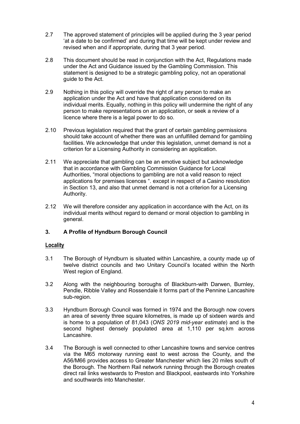- 2.7 The approved statement of principles will be applied during the 3 year period 'at a date to be confirmed' and during that time will be kept under review and revised when and if appropriate, during that 3 year period.
- 2.8 This document should be read in conjunction with the Act, Regulations made under the Act and Guidance issued by the Gambling Commission. This statement is designed to be a strategic gambling policy, not an operational guide to the Act.
- 2.9 Nothing in this policy will override the right of any person to make an application under the Act and have that application considered on its individual merits. Equally, nothing in this policy will undermine the right of any person to make representations on an application, or seek a review of a licence where there is a legal power to do so.
- 2.10 Previous legislation required that the grant of certain gambling permissions should take account of whether there was an unfulfilled demand for gambling facilities. We acknowledge that under this legislation, unmet demand is not a criterion for a Licensing Authority in considering an application.
- 2.11 We appreciate that gambling can be an emotive subject but acknowledge that in accordance with Gambling Commission Guidance for Local Authorities, "moral objections to gambling are not a valid reason to reject applications for premises licences ". except in respect of a Casino resolution in Section 13, and also that unmet demand is not a criterion for a Licensing Authority.
- 2.12 We will therefore consider any application in accordance with the Act, on its individual merits without regard to demand or moral objection to gambling in general.

#### 3. A Profile of Hyndburn Borough Council

#### **Locality**

- 3.1 The Borough of Hyndburn is situated within Lancashire, a county made up of twelve district councils and two Unitary Council's located within the North West region of England.
- 3.2 Along with the neighbouring boroughs of Blackburn-with Darwen, Burnley, Pendle, Ribble Valley and Rossendale it forms part of the Pennine Lancashire sub-region.
- 3.3 Hyndburn Borough Council was formed in 1974 and the Borough now covers an area of seventy three square kilometres, is made up of sixteen wards and is home to a population of 81,043 (ONS 2019 mid-year estimate) and is the second highest densely populated area at 1,110 per sq.km across Lancashire.
- 3.4 The Borough is well connected to other Lancashire towns and service centres via the M65 motorway running east to west across the County, and the A56/M66 provides access to Greater Manchester which lies 20 miles south of the Borough. The Northern Rail network running through the Borough creates direct rail links westwards to Preston and Blackpool, eastwards into Yorkshire and southwards into Manchester.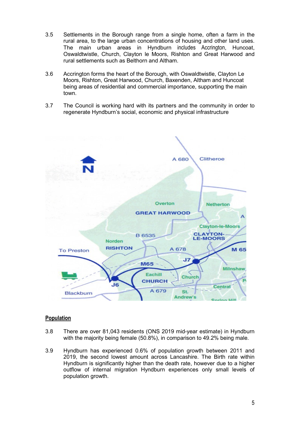- 3.5 Settlements in the Borough range from a single home, often a farm in the rural area, to the large urban concentrations of housing and other land uses. The main urban areas in Hyndburn includes Accrington, Huncoat, Oswaldtwistle, Church, Clayton le Moors, Rishton and Great Harwood and rural settlements such as Belthorn and Altham.
- 3.6 Accrington forms the heart of the Borough, with Oswaldtwistle, Clayton Le Moors, Rishton, Great Harwood, Church, Baxenden, Altham and Huncoat being areas of residential and commercial importance, supporting the main town.
- 3.7 The Council is working hard with its partners and the community in order to regenerate Hyndburn's social, economic and physical infrastructure



#### Population

- 3.8 There are over 81,043 residents (ONS 2019 mid-year estimate) in Hyndburn with the majority being female (50.8%), in comparison to 49.2% being male.
- 3.9 Hyndburn has experienced 0.6% of population growth between 2011 and 2019, the second lowest amount across Lancashire. The Birth rate within Hyndburn is significantly higher than the death rate, however due to a higher outflow of internal migration Hyndburn experiences only small levels of population growth.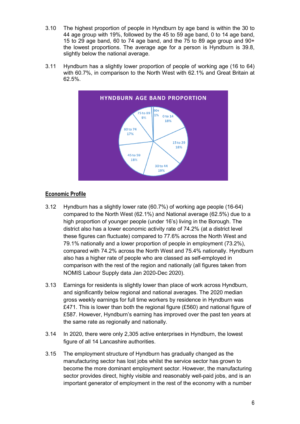- 3.10 The highest proportion of people in Hyndburn by age band is within the 30 to 44 age group with 19%, followed by the 45 to 59 age band, 0 to 14 age band, 15 to 29 age band, 60 to 74 age band, and the 75 to 89 age group and 90+ the lowest proportions. The average age for a person is Hyndburn is 39.8, slightly below the national average.
- 3.11 Hyndburn has a slightly lower proportion of people of working age (16 to 64) with 60.7%, in comparison to the North West with 62.1% and Great Britain at 62.5%.



### Economic Profile

- 3.12 Hyndburn has a slightly lower rate (60.7%) of working age people (16-64) compared to the North West (62.1%) and National average (62.5%) due to a high proportion of younger people (under 16's) living in the Borough. The district also has a lower economic activity rate of 74.2% (at a district level these figures can fluctuate) compared to 77.6% across the North West and 79.1% nationally and a lower proportion of people in employment (73.2%), compared with 74.2% across the North West and 75.4% nationally. Hyndburn also has a higher rate of people who are classed as self-employed in comparison with the rest of the region and nationally (all figures taken from NOMIS Labour Supply data Jan 2020-Dec 2020).
- 3.13 Earnings for residents is slightly lower than place of work across Hyndburn, and significantly below regional and national averages. The 2020 median gross weekly earnings for full time workers by residence in Hyndburn was £471. This is lower than both the regional figure (£560) and national figure of £587. However, Hyndburn's earning has improved over the past ten years at the same rate as regionally and nationally.
- 3.14 In 2020, there were only 2,305 active enterprises in Hyndburn, the lowest figure of all 14 Lancashire authorities.
- 3.15 The employment structure of Hyndburn has gradually changed as the manufacturing sector has lost jobs whilst the service sector has grown to become the more dominant employment sector. However, the manufacturing sector provides direct, highly visible and reasonably well-paid jobs, and is an important generator of employment in the rest of the economy with a number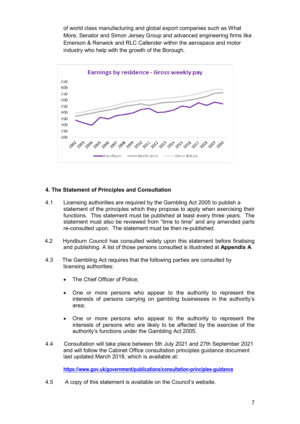of world class manufacturing and global export companies such as What More, Senator and Simon Jersey Group and advanced engineering firms like Emerson & Renwick and RLC Callender within the aerospace and motor industry who help with the growth of the Borough.



#### 4. The Statement of Principles and Consultation

- 4.1 Licensing authorities are required by the Gambling Act 2005 to publish a statement of the principles which they propose to apply when exercising their functions. This statement must be published at least every three years. The statement must also be reviewed from "time to time" and any amended parts re-consulted upon. The statement must be then re-published.
- 4.2 Hyndburn Council has consulted widely upon this statement before finalising and publishing. A list of those persons consulted is illustrated at Appendix A
- 4.3 The Gambling Act requires that the following parties are consulted by licensing authorities:
	- The Chief Officer of Police;
	- One or more persons who appear to the authority to represent the interests of persons carrying on gambling businesses in the authority's area;
	- One or more persons who appear to the authority to represent the interests of persons who are likely to be affected by the exercise of the authority's functions under the Gambling Act 2005.
- 4.4 Consultation will take place between 5th July 2021 and 27th September 2021 and will follow the Cabinet Office consultation principles guidance document last updated March 2018, which is available at:

https://www.gov.uk/government/publications/consultation-principles-quidance

4.5 A copy of this statement is available on the Council's website.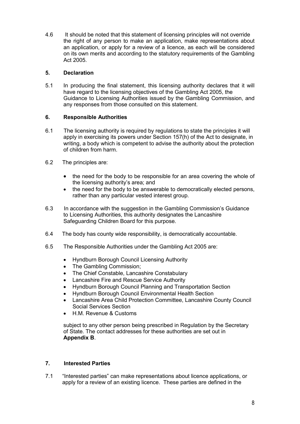4.6 It should be noted that this statement of licensing principles will not override the right of any person to make an application, make representations about an application, or apply for a review of a licence, as each will be considered on its own merits and according to the statutory requirements of the Gambling Act 2005.

#### 5. Declaration

5.1 In producing the final statement, this licensing authority declares that it will have regard to the licensing objectives of the Gambling Act 2005, the Guidance to Licensing Authorities issued by the Gambling Commission, and any responses from those consulted on this statement.

#### 6. Responsible Authorities

- 6.1 The licensing authority is required by regulations to state the principles it will apply in exercising its powers under Section 157(h) of the Act to designate, in writing, a body which is competent to advise the authority about the protection of children from harm.
- 6.2 The principles are:
	- the need for the body to be responsible for an area covering the whole of the licensing authority's area; and
	- the need for the body to be answerable to democratically elected persons, rather than any particular vested interest group.
- 6.3 In accordance with the suggestion in the Gambling Commission's Guidance to Licensing Authorities, this authority designates the Lancashire Safeguarding Children Board for this purpose.
- 6.4 The body has county wide responsibility, is democratically accountable.
- 6.5 The Responsible Authorities under the Gambling Act 2005 are:
	- Hyndburn Borough Council Licensing Authority
	- The Gambling Commission;
	- The Chief Constable, Lancashire Constabulary
	- Lancashire Fire and Rescue Service Authority
	- Hyndburn Borough Council Planning and Transportation Section
	- Hyndburn Borough Council Environmental Health Section
	- Lancashire Area Child Protection Committee, Lancashire County Council Social Services Section
	- H.M. Revenue & Customs

subject to any other person being prescribed in Regulation by the Secretary of State. The contact addresses for these authorities are set out in Appendix B.

#### 7. Interested Parties

7.1 "Interested parties" can make representations about licence applications, or apply for a review of an existing licence. These parties are defined in the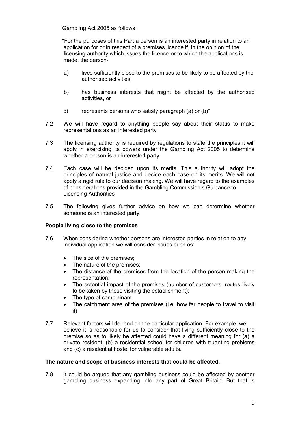Gambling Act 2005 as follows:

 "For the purposes of this Part a person is an interested party in relation to an application for or in respect of a premises licence if, in the opinion of the licensing authority which issues the licence or to which the applications is made, the person-

- a) lives sufficiently close to the premises to be likely to be affected by the authorised activities,
- b) has business interests that might be affected by the authorised activities, or
- c) represents persons who satisfy paragraph (a) or (b)"
- 7.2 We will have regard to anything people say about their status to make representations as an interested party.
- 7.3 The licensing authority is required by regulations to state the principles it will apply in exercising its powers under the Gambling Act 2005 to determine whether a person is an interested party.
- 7.4 Each case will be decided upon its merits. This authority will adopt the principles of natural justice and decide each case on its merits. We will not apply a rigid rule to our decision making. We will have regard to the examples of considerations provided in the Gambling Commission's Guidance to Licensing Authorities
- 7.5 The following gives further advice on how we can determine whether someone is an interested party.

#### People living close to the premises

- 7.6 When considering whether persons are interested parties in relation to any individual application we will consider issues such as:
	- The size of the premises:
	- The nature of the premises;
	- The distance of the premises from the location of the person making the representation;
	- The potential impact of the premises (number of customers, routes likely to be taken by those visiting the establishment);
	- The type of complainant
	- The catchment area of the premises (i.e. how far people to travel to visit it)
- 7.7 Relevant factors will depend on the particular application. For example, we believe it is reasonable for us to consider that living sufficiently close to the premise so as to likely be affected could have a different meaning for (a) a private resident, (b) a residential school for children with truanting problems and (c) a residential hostel for vulnerable adults.

#### The nature and scope of business interests that could be affected.

7.8 It could be argued that any gambling business could be affected by another gambling business expanding into any part of Great Britain. But that is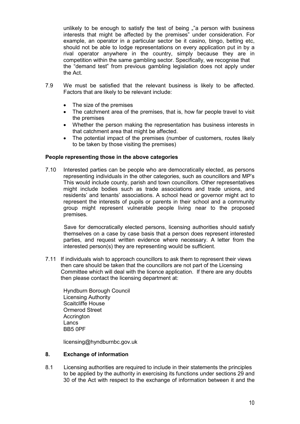unlikely to be enough to satisfy the test of being ""a person with business interests that might be affected by the premises" under consideration. For example, an operator in a particular sector be it casino, bingo, betting etc, should not be able to lodge representations on every application put in by a rival operator anywhere in the country, simply because they are in competition within the same gambling sector. Specifically, we recognise that the "demand test" from previous gambling legislation does not apply under the Act.

- 7.9 We must be satisfied that the relevant business is likely to be affected. Factors that are likely to be relevant include:
	- The size of the premises
	- The catchment area of the premises, that is, how far people travel to visit the premises
	- Whether the person making the representation has business interests in that catchment area that might be affected.
	- The potential impact of the premises (number of customers, routes likely to be taken by those visiting the premises)

#### People representing those in the above categories

7.10 Interested parties can be people who are democratically elected, as persons representing individuals in the other categories, such as councillors and MP's This would include county, parish and town councillors. Other representatives might include bodies such as trade associations and trade unions, and residents' and tenants' associations. A school head or governor might act to represent the interests of pupils or parents in their school and a community group might represent vulnerable people living near to the proposed premises.

 Save for democratically elected persons, licensing authorities should satisfy themselves on a case by case basis that a person does represent interested parties, and request written evidence where necessary. A letter from the interested person(s) they are representing would be sufficient.

7.11 If individuals wish to approach councillors to ask them to represent their views then care should be taken that the councillors are not part of the Licensing Committee which will deal with the licence application. If there are any doubts then please contact the licensing department at:

Hyndburn Borough Council Licensing Authority Scaitcliffe House Ormerod Street **Accrington** Lancs BB5 0PF

licensing@hyndburnbc.gov.uk

#### 8. Exchange of information

8.1 Licensing authorities are required to include in their statements the principles to be applied by the authority in exercising its functions under sections 29 and 30 of the Act with respect to the exchange of information between it and the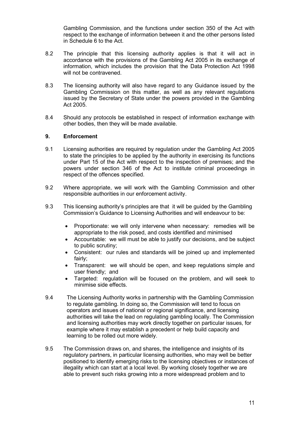Gambling Commission, and the functions under section 350 of the Act with respect to the exchange of information between it and the other persons listed in Schedule 6 to the Act.

- 8.2 The principle that this licensing authority applies is that it will act in accordance with the provisions of the Gambling Act 2005 in its exchange of information, which includes the provision that the Data Protection Act 1998 will not be contravened.
- 8.3 The licensing authority will also have regard to any Guidance issued by the Gambling Commission on this matter, as well as any relevant regulations issued by the Secretary of State under the powers provided in the Gambling Act 2005.
- 8.4 Should any protocols be established in respect of information exchange with other bodies, then they will be made available.

#### 9. Enforcement

- 9.1 Licensing authorities are required by regulation under the Gambling Act 2005 to state the principles to be applied by the authority in exercising its functions under Part 15 of the Act with respect to the inspection of premises; and the powers under section 346 of the Act to institute criminal proceedings in respect of the offences specified.
- 9.2 Where appropriate, we will work with the Gambling Commission and other responsible authorities in our enforcement activity.
- 9.3 This licensing authority's principles are that it will be guided by the Gambling Commission's Guidance to Licensing Authorities and will endeavour to be:
	- Proportionate: we will only intervene when necessary: remedies will be appropriate to the risk posed, and costs identified and minimised
	- Accountable: we will must be able to justify our decisions, and be subject to public scrutiny;
	- Consistent: our rules and standards will be joined up and implemented fairly;
	- Transparent: we will should be open, and keep regulations simple and user friendly; and
	- Targeted: regulation will be focused on the problem, and will seek to minimise side effects.
- 9.4 The Licensing Authority works in partnership with the Gambling Commission to regulate gambling. In doing so, the Commission will tend to focus on operators and issues of national or regional significance, and licensing authorities will take the lead on regulating gambling locally. The Commission and licensing authorities may work directly together on particular issues, for example where it may establish a precedent or help build capacity and learning to be rolled out more widely.
- 9.5 The Commission draws on, and shares, the intelligence and insights of its regulatory partners, in particular licensing authorities, who may well be better positioned to identify emerging risks to the licensing objectives or instances of illegality which can start at a local level. By working closely together we are able to prevent such risks growing into a more widespread problem and to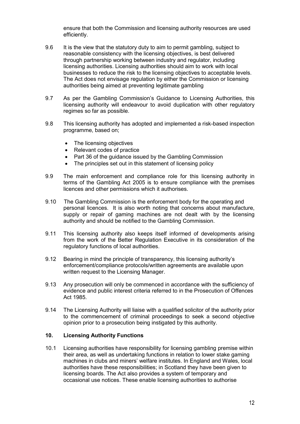ensure that both the Commission and licensing authority resources are used efficiently.

- 9.6 It is the view that the statutory duty to aim to permit gambling, subject to reasonable consistency with the licensing objectives, is best delivered through partnership working between industry and regulator, including licensing authorities. Licensing authorities should aim to work with local businesses to reduce the risk to the licensing objectives to acceptable levels. The Act does not envisage regulation by either the Commission or licensing authorities being aimed at preventing legitimate gambling
- 9.7 As per the Gambling Commission's Guidance to Licensing Authorities, this licensing authority will endeavour to avoid duplication with other regulatory regimes so far as possible.
- 9.8 This licensing authority has adopted and implemented a risk-based inspection programme, based on;
	- The licensing objectives
	- Relevant codes of practice
	- Part 36 of the quidance issued by the Gambling Commission
	- The principles set out in this statement of licensing policy
- 9.9 The main enforcement and compliance role for this licensing authority in terms of the Gambling Act 2005 is to ensure compliance with the premises licences and other permissions which it authorises.
- 9.10 The Gambling Commission is the enforcement body for the operating and personal licences. It is also worth noting that concerns about manufacture, supply or repair of gaming machines are not dealt with by the licensing authority and should be notified to the Gambling Commission.
- 9.11 This licensing authority also keeps itself informed of developments arising from the work of the Better Regulation Executive in its consideration of the regulatory functions of local authorities.
- 9.12 Bearing in mind the principle of transparency, this licensing authority's enforcement/compliance protocols/written agreements are available upon written request to the Licensing Manager.
- 9.13 Any prosecution will only be commenced in accordance with the sufficiency of evidence and public interest criteria referred to in the Prosecution of Offences Act 1985.
- 9.14 The Licensing Authority will liaise with a qualified solicitor of the authority prior to the commencement of criminal proceedings to seek a second objective opinion prior to a prosecution being instigated by this authority.

#### 10. Licensing Authority Functions

10.1 Licensing authorities have responsibility for licensing gambling premise within their area, as well as undertaking functions in relation to lower stake gaming machines in clubs and miners' welfare institutes. In England and Wales, local authorities have these responsibilities; in Scotland they have been given to licensing boards. The Act also provides a system of temporary and occasional use notices. These enable licensing authorities to authorise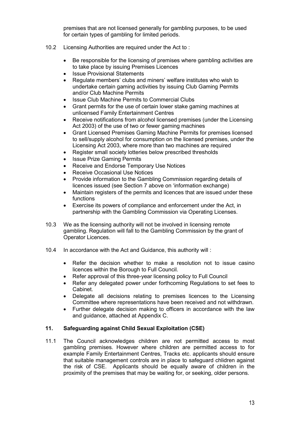premises that are not licensed generally for gambling purposes, to be used for certain types of gambling for limited periods.

- 10.2 Licensing Authorities are required under the Act to :
	- Be responsible for the licensing of premises where gambling activities are to take place by issuing Premises Licences
	- Issue Provisional Statements
	- Regulate members' clubs and miners' welfare institutes who wish to undertake certain gaming activities by issuing Club Gaming Permits and/or Club Machine Permits
	- Issue Club Machine Permits to Commercial Clubs
	- Grant permits for the use of certain lower stake gaming machines at unlicensed Family Entertainment Centres
	- Receive notifications from alcohol licensed premises (under the Licensing Act 2003) of the use of two or fewer gaming machines
	- Grant Licensed Premises Gaming Machine Permits for premises licensed to sell/supply alcohol for consumption on the licensed premises, under the Licensing Act 2003, where more than two machines are required
	- Register small society lotteries below prescribed thresholds
	- Issue Prize Gaming Permits
	- Receive and Endorse Temporary Use Notices
	- Receive Occasional Use Notices
	- Provide information to the Gambling Commission regarding details of licences issued (see Section 7 above on 'information exchange)
	- Maintain registers of the permits and licences that are issued under these functions
	- Exercise its powers of compliance and enforcement under the Act, in partnership with the Gambling Commission via Operating Licenses.
- 10.3 We as the licensing authority will not be involved in licensing remote gambling. Regulation will fall to the Gambling Commission by the grant of Operator Licences.
- 10.4 In accordance with the Act and Guidance, this authority will :
	- Refer the decision whether to make a resolution not to issue casino licences within the Borough to Full Council.
	- Refer approval of this three-year licensing policy to Full Council
	- Refer any delegated power under forthcoming Regulations to set fees to Cabinet.
	- Delegate all decisions relating to premises licences to the Licensing Committee where representations have been received and not withdrawn.
	- Further delegate decision making to officers in accordance with the law and guidance, attached at Appendix C.

#### 11. Safeguarding against Child Sexual Exploitation (CSE)

11.1 The Council acknowledges children are not permitted access to most gambling premises. However where children are permitted access to for example Family Entertainment Centres, Tracks etc. applicants should ensure that suitable management controls are in place to safeguard chlidren against the risk of CSE. Applicants should be equally aware of children in the proximity of the premises that may be waiting for, or seeking, older persons.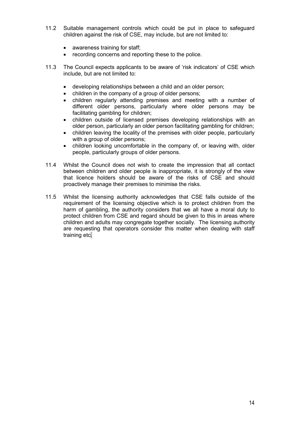- 11.2 Suitable management controls which could be put in place to safeguard children against the risk of CSE, may include, but are not limited to:
	- awareness training for staff;
	- recording concerns and reporting these to the police.
- 11.3 The Council expects applicants to be aware of 'risk indicators' of CSE which include, but are not limited to:
	- developing relationships between a child and an older person;
	- children in the company of a group of older persons;
	- children regularly attending premises and meeting with a number of different older persons, particularly where older persons may be facilitating gambling for children;
	- children outside of licensed premises developing relationships with an older person, particularly an older person facilitating gambling for children;
	- children leaving the locality of the premises with older people, particularly with a group of older persons;
	- children looking uncomfortable in the company of, or leaving with, older people, particularly groups of older persons.
- 11.4 Whilst the Council does not wish to create the impression that all contact between children and older people is inappropriate, it is strongly of the view that licence holders should be aware of the risks of CSE and should proactively manage their premises to minimise the risks.
- 11.5 Whilst the licensing authority acknowledges that CSE falls outside of the requirement of the licensing objective which is to protect children from the harm of gambling, the authority considers that we all have a moral duty to protect children from CSE and regard should be given to this in areas where children and adults may congregate together socially. The licensing authority are requesting that operators consider this matter when dealing with staff training etc.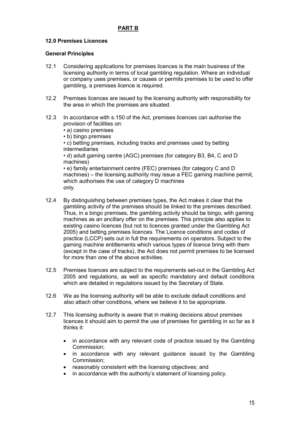# PART B

#### 12.0 Premises Licences

#### General Principles

- 12.1 Considering applications for premises licences is the main business of the licensing authority in terms of local gambling regulation. Where an individual or company uses premises, or causes or permits premises to be used to offer gambling, a premises licence is required.
- 12.2 Premises licences are issued by the licensing authority with responsibility for the area in which the premises are situated.
- 12.3 In accordance with s.150 of the Act, premises licences can authorise the provision of facilities on:
	- a) casino premises
	- b) bingo premises

• c) betting premises, including tracks and premises used by betting intermediaries

• d) adult gaming centre (AGC) premises (for category B3, B4, C and D machines)

• e) family entertainment centre (FEC) premises (for category C and D machines) – the licensing authority may issue a FEC gaming machine permit, which authorises the use of category D machines only.

- 12.4 By distinguishing between premises types, the Act makes it clear that the gambling activity of the premises should be linked to the premises described. Thus, in a bingo premises, the gambling activity should be bingo, with gaming machines as an ancillary offer on the premises. This principle also applies to existing casino licences (but not to licences granted under the Gambling Act 2005) and betting premises licences. The Licence conditions and codes of practice (LCCP) sets out in full the requirements on operators. Subject to the gaming machine entitlements which various types of licence bring with them (except in the case of tracks), the Act does not permit premises to be licensed for more than one of the above activities.
- 12.5 Premises licences are subject to the requirements set-out in the Gambling Act 2005 and regulations, as well as specific mandatory and default conditions which are detailed in regulations issued by the Secretary of State.
- 12.6 We as the licensing authority will be able to exclude default conditions and also attach other conditions, where we believe it to be appropriate.
- 12.7 This licensing authority is aware that in making decisions about premises licences it should aim to permit the use of premises for gambling in so far as it thinks it:
	- in accordance with any relevant code of practice issued by the Gambling Commission;
	- in accordance with any relevant guidance issued by the Gambling Commission;
	- reasonably consistent with the licensing objectives; and
	- in accordance with the authority's statement of licensing policy.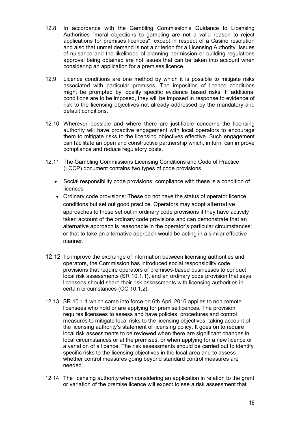- 12.8 In accordance with the Gambling Commission's Guidance to Licensing Authorities "moral objections to gambling are not a valid reason to reject applications for premises licences", except in respect of a Casino resolution and also that unmet demand is not a criterion for a Licensing Authority. Issues of nuisance and the likelihood of planning permission or building regulations approval being obtained are not issues that can be taken into account when considering an application for a premises licence.
- 12.9 Licence conditions are one method by which it is possible to mitigate risks associated with particular premises. The imposition of licence conditions might be prompted by locality specific evidence based risks. If additional conditions are to be imposed, they will be imposed in response to evidence of risk to the licensing objectives not already addressed by the mandatory and default conditions.
- 12.10 Wherever possible and where there are justifiable concerns the licensing authority will have proactive engagement with local operators to encourage them to mitigate risks to the licensing objectives effective. Such engagement can facilitate an open and constructive partnership which, in turn, can improve compliance and reduce regulatory costs.
- 12.11 The Gambling Commissions Licensing Conditions and Code of Practice (LCCP) document contains two types of code provisions:
	- Social responsibility code provisions: compliance with these is a condition of licences
	- Ordinary code provisions: These do not have the status of operator licence conditions but set out good practice. Operators may adopt alternative approaches to those set out in ordinary code provisions if they have actively taken account of the ordinary code provisions and can demonstrate that an alternative approach is reasonable in the operator's particular circumstances; or that to take an alternative approach would be acting in a similar effective manner.
- 12.12 To improve the exchange of information between licensing authorities and operators, the Commission has introduced social responsibility code provisions that require operators of premises-based businesses to conduct local risk assessments (SR 10.1.1), and an ordinary code provision that says licensees should share their risk assessments with licensing authorities in certain circumstances (OC 10.1.2).
- 12.13 SR 10.1.1 which came into force on 6th April 2016 applies to non-remote licensees who hold or are applying for premise licences. The provision requires licensees to assess and have policies, procedures and control measures to mitigate local risks to the licensing objectives, taking account of the licensing authority's statement of licensing policy. It goes on to require local risk assessments to be reviewed when there are significant changes in local circumstances or at the premises, or when applying for a new licence or a variation of a licence. The risk assessments should be carried out to identify specific risks to the licensing objectives in the local area and to assess whether control measures going beyond standard control measures are needed.
- 12.14 The licensing authority when considering an application in relation to the grant or variation of the premise licence will expect to see a risk assessment that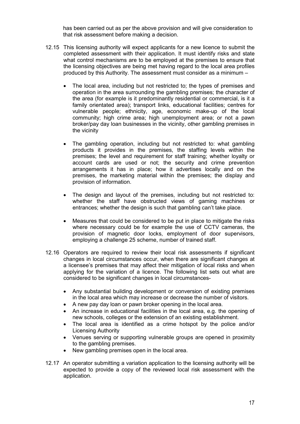has been carried out as per the above provision and will give consideration to that risk assessment before making a decision.

- 12.15 This licensing authority will expect applicants for a new licence to submit the completed assessment with their application. It must identify risks and state what control mechanisms are to be employed at the premises to ensure that the licensing objectives are being met having regard to the local area profiles produced by this Authority. The assessment must consider as a minimum –
	- The local area, including but not restricted to; the types of premises and operation in the area surrounding the gambling premises; the character of the area (for example is it predominantly residential or commercial, is it a family orientated area); transport links, educational facilities; centres for vulnerable people; ethnicity, age, economic make-up of the local community; high crime area; high unemployment area; or not a pawn broker/pay day loan businesses in the vicinity, other gambling premises in the vicinity
	- The gambling operation, including but not restricted to: what gambling products it provides in the premises, the staffing levels within the premises; the level and requirement for staff training; whether loyalty or account cards are used or not; the security and crime prevention arrangements it has in place; how it advertises locally and on the premises, the marketing material within the premises; the display and provision of information.
	- The design and layout of the premises, including but not restricted to: whether the staff have obstructed views of gaming machines or entrances; whether the design is such that gambling can't take place.
	- Measures that could be considered to be put in place to mitigate the risks where necessary could be for example the use of CCTV cameras, the provision of magnetic door locks, employment of door supervisors, employing a challenge 25 scheme, number of trained staff.
- 12.16 Operators are required to review their local risk assessments if significant changes in local circumstances occur, when there are significant changes at a licensee's premises that may affect their mitigation of local risks and when applying for the variation of a licence. The following list sets out what are considered to be significant changes in local circumstances-
	- Any substantial building development or conversion of existing premises in the local area which may increase or decrease the number of visitors.
	- A new pay day loan or pawn broker opening in the local area.
	- An increase in educational facilities in the local area, e.g. the opening of new schools, colleges or the extension of an existing establishment.
	- The local area is identified as a crime hotspot by the police and/or Licensing Authority
	- Venues serving or supporting vulnerable groups are opened in proximity to the gambling premises.
	- New gambling premises open in the local area.
- 12.17 An operator submitting a variation application to the licensing authority will be expected to provide a copy of the reviewed local risk assessment with the application.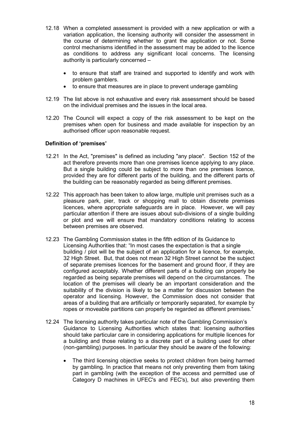- 12.18 When a completed assessment is provided with a new application or with a variation application, the licensing authority will consider the assessment in the course of determining whether to grant the application or not. Some control mechanisms identified in the assessment may be added to the licence as conditions to address any significant local concerns. The licensing authority is particularly concerned –
	- to ensure that staff are trained and supported to identify and work with problem gamblers.
	- to ensure that measures are in place to prevent underage gambling
- 12.19 The list above is not exhaustive and every risk assessment should be based on the individual premises and the issues in the local area.
- 12.20 The Council will expect a copy of the risk assessment to be kept on the premises when open for business and made available for inspection by an authorised officer upon reasonable request.

#### Definition of 'premises'

- 12.21 In the Act, "premises" is defined as including "any place". Section 152 of the act therefore prevents more than one premises licence applying to any place. But a single building could be subject to more than one premises licence, provided they are for different parts of the building, and the different parts of the building can be reasonably regarded as being different premises.
- 12.22 This approach has been taken to allow large, multiple unit premises such as a pleasure park, pier, track or shopping mall to obtain discrete premises licences, where appropriate safeguards are in place. However, we will pay particular attention if there are issues about sub-divisions of a single building or plot and we will ensure that mandatory conditions relating to access between premises are observed.
- 12.23 The Gambling Commission states in the fifth edition of its Guidance to Licensing Authorities that: "In most cases the expectation is that a single building / plot will be the subject of an application for a licence, for example, 32 High Street. But, that does not mean 32 High Street cannot be the subject of separate premises licences for the basement and ground floor, if they are configured acceptably. Whether different parts of a building can properly be regarded as being separate premises will depend on the circumstances. The location of the premises will clearly be an important consideration and the suitability of the division is likely to be a matter for discussion between the operator and licensing. However, the Commission does not consider that areas of a building that are artificially or temporarily separated, for example by ropes or moveable partitions can properly be regarded as different premises."
- 12.24 The licensing authority takes particular note of the Gambling Commission's Guidance to Licensing Authorities which states that: licensing authorities should take particular care in considering applications for multiple licences for a building and those relating to a discrete part of a building used for other (non-gambling) purposes. In particular they should be aware of the following:
	- The third licensing objective seeks to protect children from being harmed by gambling. In practice that means not only preventing them from taking part in gambling (with the exception of the access and permitted use of Category D machines in UFEC's and FEC's), but also preventing them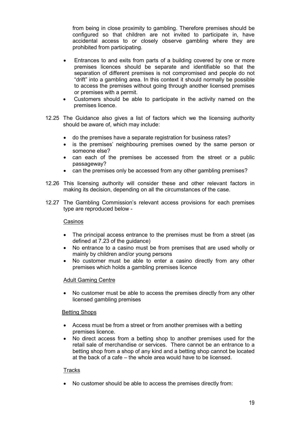from being in close proximity to gambling. Therefore premises should be configured so that children are not invited to participate in, have accidental access to or closely observe gambling where they are prohibited from participating.

- Entrances to and exits from parts of a building covered by one or more premises licences should be separate and identifiable so that the separation of different premises is not compromised and people do not "drift" into a gambling area. In this context it should normally be possible to access the premises without going through another licensed premises or premises with a permit.
- Customers should be able to participate in the activity named on the premises licence.
- 12.25 The Guidance also gives a list of factors which we the licensing authority should be aware of, which may include:
	- do the premises have a separate registration for business rates?
	- is the premises' neighbouring premises owned by the same person or someone else?
	- can each of the premises be accessed from the street or a public passageway?
	- can the premises only be accessed from any other gambling premises?
- 12.26 This licensing authority will consider these and other relevant factors in making its decision, depending on all the circumstances of the case.
- 12.27 The Gambling Commission's relevant access provisions for each premises type are reproduced below -

#### Casinos

- The principal access entrance to the premises must be from a street (as defined at 7.23 of the guidance)
- No entrance to a casino must be from premises that are used wholly or mainly by children and/or young persons
- No customer must be able to enter a casino directly from any other premises which holds a gambling premises licence

#### Adult Gaming Centre

 No customer must be able to access the premises directly from any other licensed gambling premises

#### Betting Shops

- Access must be from a street or from another premises with a betting premises licence.
- No direct access from a betting shop to another premises used for the retail sale of merchandise or services. There cannot be an entrance to a betting shop from a shop of any kind and a betting shop cannot be located at the back of a cafe – the whole area would have to be licensed.

#### **Tracks**

No customer should be able to access the premises directly from: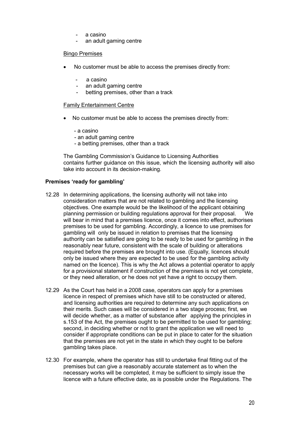- a casino
- an adult gaming centre

#### Bingo Premises

- No customer must be able to access the premises directly from:
	- a casino
	- an adult gaming centre
	- betting premises, other than a track

#### Family Entertainment Centre

- No customer must be able to access the premises directly from:
	- a casino
	- an adult gaming centre
	- a betting premises, other than a track

The Gambling Commission's Guidance to Licensing Authorities contains further guidance on this issue, which the licensing authority will also take into account in its decision-making.

#### Premises 'ready for gambling'

- 12.28 In determining applications, the licensing authority will not take into consideration matters that are not related to gambling and the licensing objectives. One example would be the likelihood of the applicant obtaining planning permission or building regulations approval for their proposal. will bear in mind that a premises licence, once it comes into effect, authorises premises to be used for gambling. Accordingly, a licence to use premises for gambling will only be issued in relation to premises that the licensing authority can be satisfied are going to be ready to be used for gambling in the reasonably near future, consistent with the scale of building or alterations required before the premises are brought into use. (Equally, licences should only be issued where they are expected to be used for the gambling activity named on the licence). This is why the Act allows a potential operator to apply for a provisional statement if construction of the premises is not yet complete, or they need alteration, or he does not yet have a right to occupy them.
- 12.29 As the Court has held in a 2008 case, operators can apply for a premises licence in respect of premises which have still to be constructed or altered, and licensing authorities are required to determine any such applications on their merits. Such cases will be considered in a two stage process; first, we will decide whether, as a matter of substance after applying the principles in s.153 of the Act, the premises ought to be permitted to be used for gambling; second, in deciding whether or not to grant the application we will need to consider if appropriate conditions can be put in place to cater for the situation that the premises are not yet in the state in which they ought to be before gambling takes place.
- 12.30 For example, where the operator has still to undertake final fitting out of the premises but can give a reasonably accurate statement as to when the necessary works will be completed, it may be sufficient to simply issue the licence with a future effective date, as is possible under the Regulations. The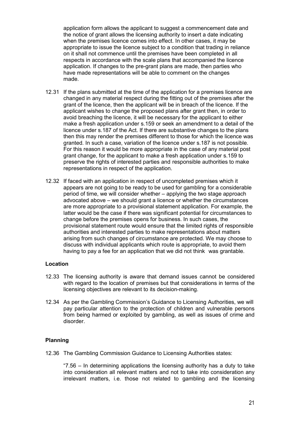application form allows the applicant to suggest a commencement date and the notice of grant allows the licensing authority to insert a date indicating when the premises licence comes into effect. In other cases, it may be appropriate to issue the licence subject to a condition that trading in reliance on it shall not commence until the premises have been completed in all respects in accordance with the scale plans that accompanied the licence application. If changes to the pre-grant plans are made, then parties who have made representations will be able to comment on the changes made.

- 12.31 If the plans submitted at the time of the application for a premises licence are changed in any material respect during the fitting out of the premises after the grant of the licence, then the applicant will be in breach of the licence. If the applicant wishes to change the proposed plans after grant then, in order to avoid breaching the licence, it will be necessary for the applicant to either make a fresh application under s.159 or seek an amendment to a detail of the licence under s.187 of the Act. If there are substantive changes to the plans then this may render the premises different to those for which the licence was granted. In such a case, variation of the licence under s.187 is not possible. For this reason it would be more appropriate in the case of any material post grant change, for the applicant to make a fresh application under s.159 to preserve the rights of interested parties and responsible authorities to make representations in respect of the application.
- 12.32 If faced with an application in respect of uncompleted premises which it appears are not going to be ready to be used for gambling for a considerable period of time, we will consider whether – applying the two stage approach advocated above – we should grant a licence or whether the circumstances are more appropriate to a provisional statement application. For example, the latter would be the case if there was significant potential for circumstances to change before the premises opens for business. In such cases, the provisional statement route would ensure that the limited rights of responsible authorities and interested parties to make representations about matters arising from such changes of circumstance are protected. We may choose to discuss with individual applicants which route is appropriate, to avoid them having to pay a fee for an application that we did not think was grantable.

#### Location

- 12.33 The licensing authority is aware that demand issues cannot be considered with regard to the location of premises but that considerations in terms of the licensing objectives are relevant to its decision-making.
- 12.34 As per the Gambling Commission's Guidance to Licensing Authorities, we will pay particular attention to the protection of children and vulnerable persons from being harmed or exploited by gambling, as well as issues of crime and disorder.

#### Planning

12.36 The Gambling Commission Guidance to Licensing Authorities states:

"7.56 – In determining applications the licensing authority has a duty to take into consideration all relevant matters and not to take into consideration any irrelevant matters, i.e. those not related to gambling and the licensing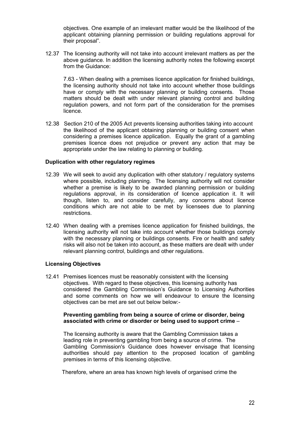objectives. One example of an irrelevant matter would be the likelihood of the applicant obtaining planning permission or building regulations approval for their proposal".

12.37 The licensing authority will not take into account irrelevant matters as per the above guidance. In addition the licensing authority notes the following excerpt from the Guidance:

7.63 - When dealing with a premises licence application for finished buildings, the licensing authority should not take into account whether those buildings have or comply with the necessary planning or building consents. Those matters should be dealt with under relevant planning control and building regulation powers, and not form part of the consideration for the premises licence.

12.38 Section 210 of the 2005 Act prevents licensing authorities taking into account the likelihood of the applicant obtaining planning or building consent when considering a premises licence application. Equally the grant of a gambling premises licence does not prejudice or prevent any action that may be appropriate under the law relating to planning or building.

#### Duplication with other regulatory regimes

- 12.39 We will seek to avoid any duplication with other statutory / regulatory systems where possible, including planning. The licensing authority will not consider whether a premise is likely to be awarded planning permission or building regulations approval, in its consideration of licence application it. It will though, listen to, and consider carefully, any concerns about licence conditions which are not able to be met by licensees due to planning restrictions.
- 12.40 When dealing with a premises licence application for finished buildings, the licensing authority will not take into account whether those buildings comply with the necessary planning or buildings consents. Fire or health and safety risks will also not be taken into account, as these matters are dealt with under relevant planning control, buildings and other regulations.

#### Licensing Objectives

12.41 Premises licences must be reasonably consistent with the licensing objectives. With regard to these objectives, this licensing authority has considered the Gambling Commission's Guidance to Licensing Authorities and some comments on how we will endeavour to ensure the licensing objectives can be met are set out below below:-

#### Preventing gambling from being a source of crime or disorder, being associated with crime or disorder or being used to support crime –

The licensing authority is aware that the Gambling Commission takes a leading role in preventing gambling from being a source of crime. The Gambling Commission's Guidance does however envisage that licensing authorities should pay attention to the proposed location of gambling premises in terms of this licensing objective.

Therefore, where an area has known high levels of organised crime the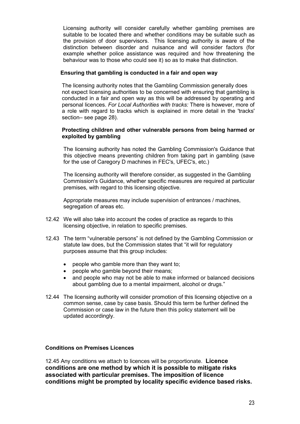Licensing authority will consider carefully whether gambling premises are suitable to be located there and whether conditions may be suitable such as the provision of door supervisors. This licensing authority is aware of the distinction between disorder and nuisance and will consider factors (for example whether police assistance was required and how threatening the behaviour was to those who could see it) so as to make that distinction.

#### Ensuring that gambling is conducted in a fair and open way

The licensing authority notes that the Gambling Commission generally does not expect licensing authorities to be concerned with ensuring that gambling is conducted in a fair and open way as this will be addressed by operating and personal licences. For Local Authorities with tracks: There is however, more of a role with regard to tracks which is explained in more detail in the 'tracks' section– see page 28).

#### Protecting children and other vulnerable persons from being harmed or exploited by gambling

The licensing authority has noted the Gambling Commission's Guidance that this objective means preventing children from taking part in gambling (save for the use of Caregory D machines in FEC's, UFEC's, etc.)

The licensing authority will therefore consider, as suggested in the Gambling Commission's Guidance, whether specific measures are required at particular premises, with regard to this licensing objective.

Appropriate measures may include supervision of entrances / machines, segregation of areas etc.

- 12.42 We will also take into account the codes of practice as regards to this licensing objective, in relation to specific premises.
- 12.43 The term "vulnerable persons" is not defined by the Gambling Commission or statute law does, but the Commission states that "it will for regulatory purposes assume that this group includes:
	- people who gamble more than they want to;
	- people who gamble beyond their means;
	- and people who may not be able to make informed or balanced decisions about gambling due to a mental impairment, alcohol or drugs."
- 12.44 The licensing authority will consider promotion of this licensing objective on a common sense, case by case basis. Should this term be further defined the Commission or case law in the future then this policy statement will be updated accordingly.

#### Conditions on Premises Licences

12.45 Any conditions we attach to licences will be proportionate. Licence conditions are one method by which it is possible to mitigate risks associated with particular premises. The imposition of licence conditions might be prompted by locality specific evidence based risks.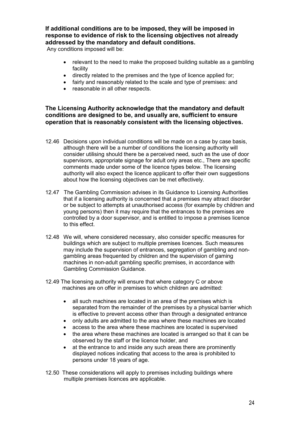## If additional conditions are to be imposed, they will be imposed in response to evidence of risk to the licensing objectives not already addressed by the mandatory and default conditions.

Any conditions imposed will be:

- relevant to the need to make the proposed building suitable as a gambling facility
- directly related to the premises and the type of licence applied for;
- fairly and reasonably related to the scale and type of premises: and
- reasonable in all other respects.

#### The Licensing Authority acknowledge that the mandatory and default conditions are designed to be, and usually are, sufficient to ensure operation that is reasonably consistent with the licensing objectives.

- 12.46 Decisions upon individual conditions will be made on a case by case basis, although there will be a number of conditions the licensing authority will consider utilising should there be a perceived need, such as the use of door supervisors, appropriate signage for adult only areas etc., There are specific comments made under some of the licence types below. The licensing authority will also expect the licence applicant to offer their own suggestions about how the licensing objectives can be met effectively.
- 12.47 The Gambling Commission advises in its Guidance to Licensing Authorities that if a licensing authority is concerned that a premises may attract disorder or be subject to attempts at unauthorised access (for example by children and young persons) then it may require that the entrances to the premises are controlled by a door supervisor, and is entitled to impose a premises licence to this effect.
- 12.48 We will, where considered necessary, also consider specific measures for buildings which are subject to multiple premises licences. Such measures may include the supervision of entrances, segregation of gambling and nongambling areas frequented by children and the supervision of gaming machines in non-adult gambling specific premises, in accordance with Gambling Commission Guidance.
- 12.49 The licensing authority will ensure that where category C or above machines are on offer in premises to which children are admitted:
	- all such machines are located in an area of the premises which is separated from the remainder of the premises by a physical barrier which is effective to prevent access other than through a designated entrance
	- only adults are admitted to the area where these machines are located
	- access to the area where these machines are located is supervised
	- the area where these machines are located is arranged so that it can be observed by the staff or the licence holder, and
	- at the entrance to and inside any such areas there are prominently displayed notices indicating that access to the area is prohibited to persons under 18 years of age.
- 12.50 These considerations will apply to premises including buildings where multiple premises licences are applicable.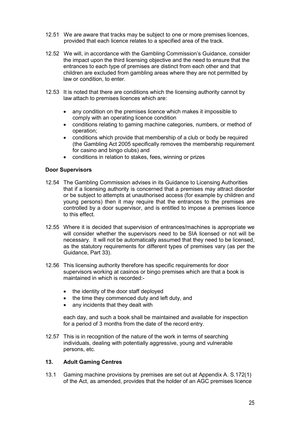- 12.51 We are aware that tracks may be subject to one or more premises licences, provided that each licence relates to a specified area of the track.
- 12.52 We will, in accordance with the Gambling Commission's Guidance, consider the impact upon the third licensing objective and the need to ensure that the entrances to each type of premises are distinct from each other and that children are excluded from gambling areas where they are not permitted by law or condition, to enter.
- 12.53 It is noted that there are conditions which the licensing authority cannot by law attach to premises licences which are:
	- any condition on the premises licence which makes it impossible to comply with an operating licence condition
	- conditions relating to gaming machine categories, numbers, or method of operation;
	- conditions which provide that membership of a club or body be required (the Gambling Act 2005 specifically removes the membership requirement for casino and bingo clubs) and
	- conditions in relation to stakes, fees, winning or prizes

#### Door Supervisors

- 12.54 The Gambling Commission advises in its Guidance to Licensing Authorities that if a licensing authority is concerned that a premises may attract disorder or be subject to attempts at unauthorised access (for example by children and young persons) then it may require that the entrances to the premises are controlled by a door supervisor, and is entitled to impose a premises licence to this effect.
- 12.55 Where it is decided that supervision of entrances/machines is appropriate we will consider whether the supervisors need to be SIA licensed or not will be necessary. It will not be automatically assumed that they need to be licensed, as the statutory requirements for different types of premises vary (as per the Guidance, Part 33).
- 12.56 This licensing authority therefore has specific requirements for door supervisors working at casinos or bingo premises which are that a book is maintained in which is recorded:
	- the identity of the door staff deployed
	- the time they commenced duty and left duty, and
	- any incidents that they dealt with

each day, and such a book shall be maintained and available for inspection for a period of 3 months from the date of the record entry.

12.57 This is in recognition of the nature of the work in terms of searching individuals, dealing with potentially aggressive, young and vulnerable persons, etc.

#### 13. Adult Gaming Centres

13.1 Gaming machine provisions by premises are set out at Appendix A. S.172(1) of the Act, as amended, provides that the holder of an AGC premises licence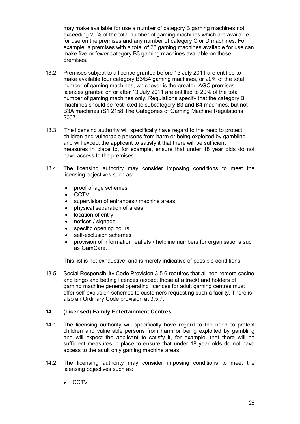may make available for use a number of category B gaming machines not exceeding 20% of the total number of gaming machines which are available for use on the premises and any number of category C or D machines. For example, a premises with a total of 25 gaming machines available for use can make five or fewer category B3 gaming machines available on those premises.

- 13.2 Premises subject to a licence granted before 13 July 2011 are entitled to make available four category B3/B4 gaming machines, or 20% of the total number of gaming machines, whichever is the greater. AGC premises licences granted on or after 13 July 2011 are entitled to 20% of the total number of gaming machines only. Regulations specify that the category B machines should be restricted to subcategory B3 and B4 machines, but not B3A machines (S1 2158 The Categories of Gaming Machine Regulations 2007
- 13.3` The licensing authority will specifically have regard to the need to protect children and vulnerable persons from harm or being exploited by gambling and will expect the applicant to satisfy it that there will be sufficient measures in place to, for example, ensure that under 18 year olds do not have access to the premises.
- 13.4 The licensing authority may consider imposing conditions to meet the licensing objectives such as:
	- proof of age schemes
	- **CCTV**
	- supervision of entrances / machine areas
	- physical separation of areas
	- location of entry
	- notices / signage
	- specific opening hours
	- self-exclusion schemes
	- provision of information leaflets / helpline numbers for organisations such as GamCare.

This list is not exhaustive, and is merely indicative of possible conditions.

13.5 Social Responsibility Code Provision 3.5.6 requires that all non-remote casino and bingo and betting licences (except those at a track) and holders of gaming machine general operating licences for adult gaming centres must offer self-exclusion schemes to customers requesting such a facility. There is also an Ordinary Code provision at 3.5.7.

#### 14. (Licensed) Family Entertainment Centres

- 14.1 The licensing authority will specifically have regard to the need to protect children and vulnerable persons from harm or being exploited by gambling and will expect the applicant to satisfy it, for example, that there will be sufficient measures in place to ensure that under 18 year olds do not have access to the adult only gaming machine areas.
- 14.2 The licensing authority may consider imposing conditions to meet the licensing objectives such as:
	- CCTV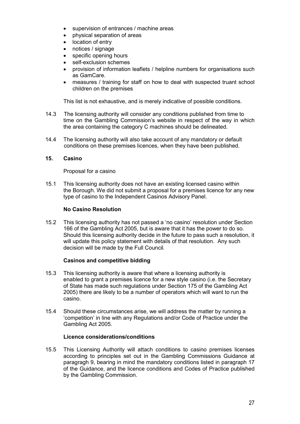- supervision of entrances / machine areas
- physical separation of areas
- location of entry
- notices / signage
- specific opening hours
- self-exclusion schemes
- provision of information leaflets / helpline numbers for organisations such as GamCare.
- measures / training for staff on how to deal with suspected truant school children on the premises

This list is not exhaustive, and is merely indicative of possible conditions.

- 14.3 The licensing authority will consider any conditions published from time to time on the Gambling Commission's website in respect of the way in which the area containing the category C machines should be delineated.
- 14.4 The licensing authority will also take account of any mandatory or default conditions on these premises licences, when they have been published.

#### 15. Casino

Proposal for a casino

15.1 This licensing authority does not have an existing licensed casino within the Borough. We did not submit a proposal for a premises licence for any new type of casino to the Independent Casinos Advisory Panel.

#### No Casino Resolution

15.2 This licensing authority has not passed a 'no casino' resolution under Section 166 of the Gambling Act 2005, but is aware that it has the power to do so. Should this licensing authority decide in the future to pass such a resolution, it will update this policy statement with details of that resolution. Any such decision will be made by the Full Council.

#### Casinos and competitive bidding

- 15.3 This licensing authority is aware that where a licensing authority is enabled to grant a premises licence for a new style casino (i.e. the Secretary of State has made such regulations under Section 175 of the Gambling Act 2005) there are likely to be a number of operators which will want to run the casino.
- 15.4 Should these circumstances arise, we will address the matter by running a 'competition' in line with any Regulations and/or Code of Practice under the Gambling Act 2005.

#### Licence considerations/conditions

15.5 This Licensing Authority will attach conditions to casino premises licenses according to principles set out in the Gambling Commissions Guidance at paragragh 9, bearing in mind the mandatory conditions listed in paragraph 17 of the Guidance, and the licence conditions and Codes of Practice published by the Gambling Commission.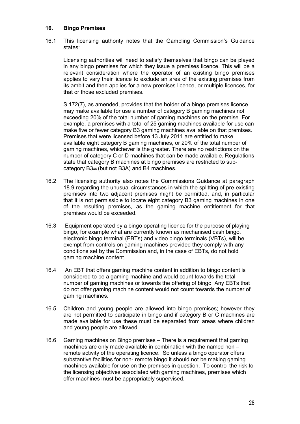#### 16. Bingo Premises

16.1 This licensing authority notes that the Gambling Commission's Guidance states:

Licensing authorities will need to satisfy themselves that bingo can be played in any bingo premises for which they issue a premises licence. This will be a relevant consideration where the operator of an existing bingo premises applies to vary their licence to exclude an area of the existing premises from its ambit and then applies for a new premises licence, or multiple licences, for that or those excluded premises.

 S.172(7), as amended, provides that the holder of a bingo premises licence may make available for use a number of category B gaming machines not exceeding 20% of the total number of gaming machines on the premise. For example, a premises with a total of 25 gaming machines available for use can make five or fewer category B3 gaming machines available on that premises. Premises that were licensed before 13 July 2011 are entitled to make available eight category B gaming machines, or 20% of the total number of gaming machines, whichever is the greater. There are no restrictions on the number of category C or D machines that can be made available. Regulations state that category B machines at bingo premises are restricted to sub category B346 (but not B3A) and B4 machines.

- 16.2 The licensing authority also notes the Commissions Guidance at paragraph 18.9 regarding the unusual circumstances in which the splitting of pre-existing premises into two adjacent premises might be permitted, and, in particular that it is not permissible to locate eight category B3 gaming machines in one of the resulting premises, as the gaming machine entitlement for that premises would be exceeded.
- 16.3 Equipment operated by a bingo operating licence for the purpose of playing bingo, for example what are currently known as mechanised cash bingo, electronic bingo terminal (EBTs) and video bingo terminals (VBTs), will be exempt from controls on gaming machines provided they comply with any conditions set by the Commission and, in the case of EBTs, do not hold gaming machine content.
- 16.4 An EBT that offers gaming machine content in addition to bingo content is considered to be a gaming machine and would count towards the total number of gaming machines or towards the offering of bingo. Any EBTs that do not offer gaming machine content would not count towards the number of gaming machines.
- 16.5 Children and young people are allowed into bingo premises; however they are not permitted to participate in bingo and if category B or C machines are made available for use these must be separated from areas where children and young people are allowed.
- 16.6 Gaming machines on Bingo premises There is a requirement that gaming machines are only made available in combination with the named non – remote activity of the operating licence. So unless a bingo operator offers substantive facilities for non- remote bingo it should not be making gaming machines available for use on the premises in question. To control the risk to the licensing objectives associated with gaming machines, premises which offer machines must be appropriately supervised.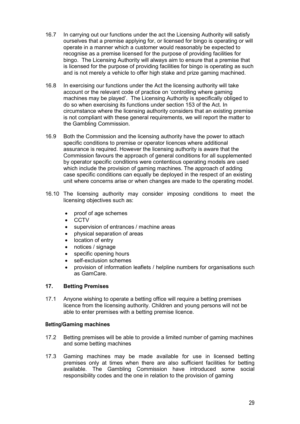- 16.7 In carrying out our functions under the act the Licensing Authority will satisfy ourselves that a premise applying for, or licensed for bingo is operating or will operate in a manner which a customer would reasonably be expected to recognise as a premise licensed for the purpose of providing facilities for bingo. The Licensing Authority will always aim to ensure that a premise that is licensed for the purpose of providing facilities for bingo is operating as such and is not merely a vehicle to offer high stake and prize gaming machined.
- 16.8 In exercising our functions under the Act the licensing authority will take account or the relevant code of practice on 'controlling where gaming machines may be played'. The Licensing Authority is specifically obliged to do so when exercising its functions under section 153 of the Act. In circumstance where the licensing authority considers that an existing premise is not compliant with these general requirements, we will report the matter to the Gambling Commission.
- 16.9 Both the Commission and the licensing authority have the power to attach specific conditions to premise or operator licences where additional assurance is required. However the licensing authority is aware that the Commission favours the approach of general conditions for all supplemented by operator specific conditions were contentious operating models are used which include the provision of gaming machines. The approach of adding case specific conditions can equally be deployed in the respect of an existing unit where concerns arise or when changes are made to the operating model.
- 16.10 The licensing authority may consider imposing conditions to meet the licensing objectives such as:
	- proof of age schemes
	- **CCTV**
	- supervision of entrances / machine areas
	- physical separation of areas
	- location of entry
	- notices / signage
	- specific opening hours
	- self-exclusion schemes
	- provision of information leaflets / helpline numbers for organisations such as GamCare.

#### 17. Betting Premises

17.1 Anyone wishing to operate a betting office will require a betting premises licence from the licensing authority. Children and young persons will not be able to enter premises with a betting premise licence.

#### Betting/Gaming machines

- 17.2 Betting premises will be able to provide a limited number of gaming machines and some betting machines
- 17.3 Gaming machines may be made available for use in licensed betting premises only at times when there are also sufficient facilities for betting available. The Gambling Commission have introduced some social responsibility codes and the one in relation to the provision of gaming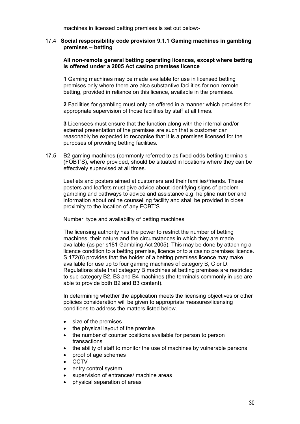machines in licensed betting premises is set out below:-

#### 17.4 Social responsibility code provision 9.1.1 Gaming machines in gambling premises – betting

#### All non-remote general betting operating licences, except where betting is offered under a 2005 Act casino premises licence

 1 Gaming machines may be made available for use in licensed betting premises only where there are also substantive facilities for non-remote betting, provided in reliance on this licence, available in the premises.

 2 Facilities for gambling must only be offered in a manner which provides for appropriate supervision of those facilities by staff at all times.

 3 Licensees must ensure that the function along with the internal and/or external presentation of the premises are such that a customer can reasonably be expected to recognise that it is a premises licensed for the purposes of providing betting facilities.

17.5 B2 gaming machines (commonly referred to as fixed odds betting terminals (FOBT'S), where provided, should be situated in locations where they can be effectively supervised at all times.

Leaflets and posters aimed at customers and their families/friends. These posters and leaflets must give advice about identifying signs of problem gambling and pathways to advice and assistance e.g. helpline number and information about online counselling facility and shall be provided in close proximity to the location of any FOBT'S.

Number, type and availability of betting machines

The licensing authority has the power to restrict the number of betting machines, their nature and the circumstances in which they are made available (as per s181 Gambling Act 2005). This may be done by attaching a licence condition to a betting premise, licence or to a casino premises licence. S.172(8) provides that the holder of a betting premises licence may make available for use up to four gaming machines of category B, C or D. Regulations state that category B machines at betting premises are restricted to sub-category B2, B3 and B4 machines (the terminals commonly in use are able to provide both B2 and B3 content).

In determining whether the application meets the licensing objectives or other policies consideration will be given to appropriate measures/licensing conditions to address the matters listed below.

- size of the premises
- the physical layout of the premise
- the number of counter positions available for person to person transactions
- the ability of staff to monitor the use of machines by vulnerable persons
- proof of age schemes
- **CCTV**
- entry control system
- supervision of entrances/ machine areas
- physical separation of areas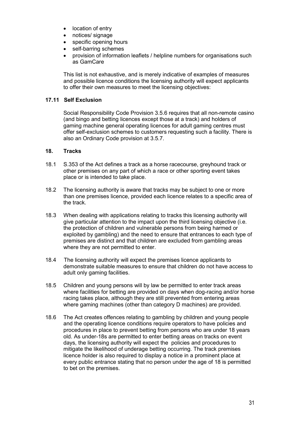- location of entry
- notices/ signage
- specific opening hours
- self-barring schemes
- provision of information leaflets / helpline numbers for organisations such as GamCare

This list is not exhaustive, and is merely indicative of examples of measures and possible licence conditions the licensing authority will expect applicants to offer their own measures to meet the licensing objectives:

#### 17.11 Self Exclusion

Social Responsibility Code Provision 3.5.6 requires that all non-remote casino (and bingo and betting licences except those at a track) and holders of gaming machine general operating licences for adult gaming centres must offer self-exclusion schemes to customers requesting such a facility. There is also an Ordinary Code provision at 3.5.7.

#### 18. Tracks

- 18.1 S.353 of the Act defines a track as a horse racecourse, greyhound track or other premises on any part of which a race or other sporting event takes place or is intended to take place.
- 18.2 The licensing authority is aware that tracks may be subject to one or more than one premises licence, provided each licence relates to a specific area of the track.
- 18.3 When dealing with applications relating to tracks this licensing authority will give particular attention to the impact upon the third licensing objective (i.e. the protection of children and vulnerable persons from being harmed or exploited by gambling) and the need to ensure that entrances to each type of premises are distinct and that children are excluded from gambling areas where they are not permitted to enter.
- 18.4 The licensing authority will expect the premises licence applicants to demonstrate suitable measures to ensure that children do not have access to adult only gaming facilities.
- 18.5 Children and young persons will by law be permitted to enter track areas where facilities for betting are provided on days when dog-racing and/or horse racing takes place, although they are still prevented from entering areas where gaming machines (other than category D machines) are provided.
- 18.6 The Act creates offences relating to gambling by children and young people and the operating licence conditions require operators to have policies and procedures in place to prevent betting from persons who are under 18 years old. As under-18s are permitted to enter betting areas on tracks on event days, the licensing authority will expect the policies and procedures to mitigate the likelihood of underage betting occurring. The track premises licence holder is also required to display a notice in a prominent place at every public entrance stating that no person under the age of 18 is permitted to bet on the premises.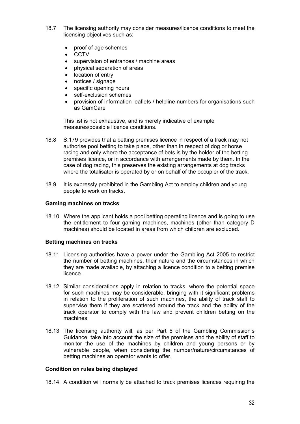- 18.7 The licensing authority may consider measures/licence conditions to meet the licensing objectives such as:
	- proof of age schemes
	- CCTV
	- supervision of entrances / machine areas
	- physical separation of areas
	- location of entry
	- notices / signage
	- specific opening hours
	- self-exclusion schemes
	- provision of information leaflets / helpline numbers for organisations such as GamCare

This list is not exhaustive, and is merely indicative of example measures/possible licence conditions.

- 18.8 S.179 provides that a betting premises licence in respect of a track may not authorise pool betting to take place, other than in respect of dog or horse racing and only where the acceptance of bets is by the holder of the betting premises licence, or in accordance with arrangements made by them. In the case of dog racing, this preserves the existing arrangements at dog tracks where the totalisator is operated by or on behalf of the occupier of the track.
- 18.9 It is expressly prohibited in the Gambling Act to employ children and young people to work on tracks.

#### Gaming machines on tracks

18.10 Where the applicant holds a pool betting operating licence and is going to use the entitlement to four gaming machines, machines (other than category D machines) should be located in areas from which children are excluded.

#### Betting machines on tracks

- 18.11 Licensing authorities have a power under the Gambling Act 2005 to restrict the number of betting machines, their nature and the circumstances in which they are made available, by attaching a licence condition to a betting premise licence.
- 18.12 Similar considerations apply in relation to tracks, where the potential space for such machines may be considerable, bringing with it significant problems in relation to the proliferation of such machines, the ability of track staff to supervise them if they are scattered around the track and the ability of the track operator to comply with the law and prevent children betting on the machines.
- 18.13 The licensing authority will, as per Part 6 of the Gambling Commission's Guidance, take into account the size of the premises and the ability of staff to monitor the use of the machines by children and young persons or by vulnerable people, when considering the number/nature/circumstances of betting machines an operator wants to offer.

#### Condition on rules being displayed

18.14 A condition will normally be attached to track premises licences requiring the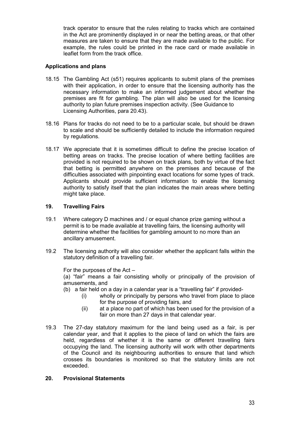track operator to ensure that the rules relating to tracks which are contained in the Act are prominently displayed in or near the betting areas, or that other measures are taken to ensure that they are made available to the public. For example, the rules could be printed in the race card or made available in leaflet form from the track office.

#### Applications and plans

- 18.15 The Gambling Act (s51) requires applicants to submit plans of the premises with their application, in order to ensure that the licensing authority has the necessary information to make an informed judgement about whether the premises are fit for gambling. The plan will also be used for the licensing authority to plan future premises inspection activity. (See Guidance to Licensing Authorities, para 20.43).
- 18.16 Plans for tracks do not need to be to a particular scale, but should be drawn to scale and should be sufficiently detailed to include the information required by regulations.
- 18.17 We appreciate that it is sometimes difficult to define the precise location of betting areas on tracks. The precise location of where betting facilities are provided is not required to be shown on track plans, both by virtue of the fact that betting is permitted anywhere on the premises and because of the difficulties associated with pinpointing exact locations for some types of track. Applicants should provide sufficient information to enable the licensing authority to satisfy itself that the plan indicates the main areas where betting might take place.

#### 19. Travelling Fairs

- 19.1 Where category D machines and / or equal chance prize gaming without a permit is to be made available at travelling fairs, the licensing authority will determine whether the facilities for gambling amount to no more than an ancillary amusement.
- 19.2 The licensing authority will also consider whether the applicant falls within the statutory definition of a travelling fair.

For the purposes of the Act –

 (a) "fair" means a fair consisting wholly or principally of the provision of amusements, and

- (b) a fair held on a day in a calendar year is a "travelling fair" if provided-
	- (i) wholly or principally by persons who travel from place to place for the purpose of providing fairs, and
	- (ii) at a place no part of which has been used for the provision of a fair on more than 27 days in that calendar year.
- 19.3 The 27-day statutory maximum for the land being used as a fair, is per calendar year, and that it applies to the piece of land on which the fairs are held, regardless of whether it is the same or different travelling fairs occupying the land. The licensing authority will work with other departments of the Council and its neighbouring authorities to ensure that land which crosses its boundaries is monitored so that the statutory limits are not exceeded.

#### 20. Provisional Statements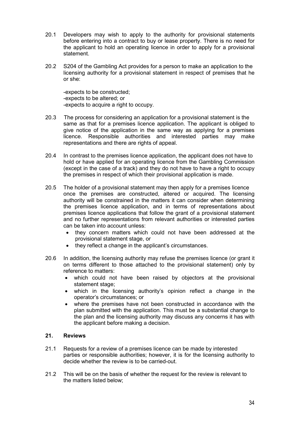- 20.1 Developers may wish to apply to the authority for provisional statements before entering into a contract to buy or lease property. There is no need for the applicant to hold an operating licence in order to apply for a provisional statement.
- 20.2 S204 of the Gambling Act provides for a person to make an application to the licensing authority for a provisional statement in respect of premises that he or she:

 -expects to be constructed; -expects to be altered; or -expects to acquire a right to occupy.

- 20.3 The process for considering an application for a provisional statement is the same as that for a premises licence application. The applicant is obliged to give notice of the application in the same way as applying for a premises licence. Responsible authorities and interested parties may make representations and there are rights of appeal.
- 20.4 In contrast to the premises licence application, the applicant does not have to hold or have applied for an operating licence from the Gambling Commission (except in the case of a track) and they do not have to have a right to occupy the premises in respect of which their provisional application is made.
- 20.5 The holder of a provisional statement may then apply for a premises licence once the premises are constructed, altered or acquired. The licensing authority will be constrained in the matters it can consider when determining the premises licence application, and in terms of representations about premises licence applications that follow the grant of a provisional statement and no further representations from relevant authorities or interested parties can be taken into account unless:
	- they concern matters which could not have been addressed at the provisional statement stage, or
	- they reflect a change in the applicant's circumstances.
- 20.6 In addition, the licensing authority may refuse the premises licence (or grant it on terms different to those attached to the provisional statement) only by reference to matters:
	- which could not have been raised by objectors at the provisional statement stage:
	- which in the licensing authority's opinion reflect a change in the operator's circumstances; or
	- where the premises have not been constructed in accordance with the plan submitted with the application. This must be a substantial change to the plan and the licensing authority may discuss any concerns it has with the applicant before making a decision.

#### 21. Reviews

- 21.1 Requests for a review of a premises licence can be made by interested parties or responsible authorities; however, it is for the licensing authority to decide whether the review is to be carried-out.
- 21.2 This will be on the basis of whether the request for the review is relevant to the matters listed below;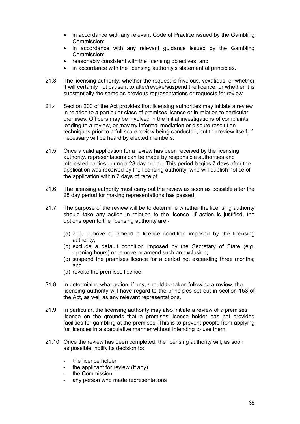- in accordance with any relevant Code of Practice issued by the Gambling Commission;
- in accordance with any relevant guidance issued by the Gambling Commission;
- reasonably consistent with the licensing objectives; and
- in accordance with the licensing authority's statement of principles.
- 21.3 The licensing authority, whether the request is frivolous, vexatious, or whether it will certainly not cause it to alter/revoke/suspend the licence, or whether it is substantially the same as previous representations or requests for review.
- 21.4 Section 200 of the Act provides that licensing authorities may initiate a review in relation to a particular class of premises licence or in relation to particular premises. Officers may be involved in the initial investigations of complaints leading to a review, or may try informal mediation or dispute resolution techniques prior to a full scale review being conducted, but the review itself, if necessary will be heard by elected members.
- 21.5 Once a valid application for a review has been received by the licensing authority, representations can be made by responsible authorities and interested parties during a 28 day period. This period begins 7 days after the application was received by the licensing authority, who will publish notice of the application within 7 days of receipt.
- 21.6 The licensing authority must carry out the review as soon as possible after the 28 day period for making representations has passed.
- 21.7 The purpose of the review will be to determine whether the licensing authority should take any action in relation to the licence. If action is justified, the options open to the licensing authority are:-
	- (a) add, remove or amend a licence condition imposed by the licensing authority;
	- (b) exclude a default condition imposed by the Secretary of State (e.g. opening hours) or remove or amend such an exclusion;
	- (c) suspend the premises licence for a period not exceeding three months; and
	- (d) revoke the premises licence.
- 21.8 In determining what action, if any, should be taken following a review, the licensing authority will have regard to the principles set out in section 153 of the Act, as well as any relevant representations.
- 21.9 In particular, the licensing authority may also initiate a review of a premises licence on the grounds that a premises licence holder has not provided facilities for gambling at the premises. This is to prevent people from applying for licences in a speculative manner without intending to use them.
- 21.10 Once the review has been completed, the licensing authority will, as soon as possible, notify its decision to:
	- the licence holder
	- the applicant for review (if any)
	- the Commission
	- any person who made representations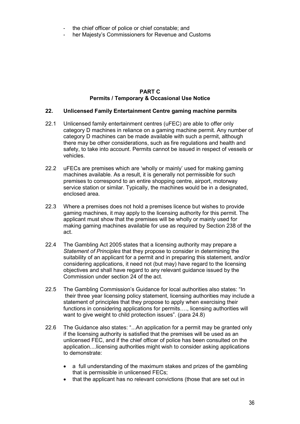- the chief officer of police or chief constable; and
- her Majesty's Commissioners for Revenue and Customs

#### PART C Permits / Temporary & Occasional Use Notice

#### 22. Unlicensed Family Entertainment Centre gaming machine permits

- 22.1 Unlicensed family entertainment centres (uFEC) are able to offer only category D machines in reliance on a gaming machine permit. Any number of category D machines can be made available with such a permit, although there may be other considerations, such as fire regulations and health and safety, to take into account. Permits cannot be issued in respect of vessels or vehicles.
- 22.2 uFECs are premises which are 'wholly or mainly' used for making gaming machines available. As a result, it is generally not permissible for such premises to correspond to an entire shopping centre, airport, motorway service station or similar. Typically, the machines would be in a designated, enclosed area.
- 22.3 Where a premises does not hold a premises licence but wishes to provide gaming machines, it may apply to the licensing authority for this permit. The applicant must show that the premises will be wholly or mainly used for making gaming machines available for use as required by Section 238 of the act.
- 22.4 The Gambling Act 2005 states that a licensing authority may prepare a Statement of Principles that they propose to consider in determining the suitability of an applicant for a permit and in preparing this statement, and/or considering applications, it need not (but may) have regard to the licensing objectives and shall have regard to any relevant guidance issued by the Commission under section 24 of the act.
- 22.5 The Gambling Commission's Guidance for local authorities also states: "In their three year licensing policy statement, licensing authorities may include a statement of principles that they propose to apply when exercising their functions in considering applications for permits…., licensing authorities will want to give weight to child protection issues". (para 24.8)
- 22.6 The Guidance also states: "...An application for a permit may be granted only if the licensing authority is satisfied that the premises will be used as an unlicensed FEC, and if the chief officer of police has been consulted on the application....licensing authorities might wish to consider asking applications to demonstrate:
	- a full understanding of the maximum stakes and prizes of the gambling that is permissible in unlicensed FECs;
	- that the applicant has no relevant convictions (those that are set out in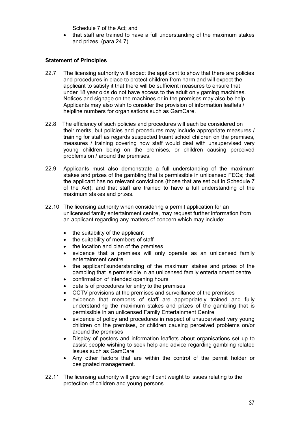Schedule 7 of the Act; and

 that staff are trained to have a full understanding of the maximum stakes and prizes. (para 24.7)

#### Statement of Principles

- 22.7 The licensing authority will expect the applicant to show that there are policies and procedures in place to protect children from harm and will expect the applicant to satisfy it that there will be sufficient measures to ensure that under 18 year olds do not have access to the adult only gaming machines. Notices and signage on the machines or in the premises may also be help. Applicants may also wish to consider the provision of information leaflets / helpline numbers for organisations such as GamCare.
- 22.8 The efficiency of such policies and procedures will each be considered on their merits, but policies and procedures may include appropriate measures / training for staff as regards suspected truant school children on the premises, measures / training covering how staff would deal with unsupervised very young children being on the premises, or children causing perceived problems on / around the premises.
- 22.9 Applicants must also demonstrate a full understanding of the maximum stakes and prizes of the gambling that is permissible in unlicensed FECs; that the applicant has no relevant convictions (those that are set out in Schedule 7 of the Act); and that staff are trained to have a full understanding of the maximum stakes and prizes.
- 22.10 The licensing authority when considering a permit application for an unlicensed family entertainment centre, may request further information from an applicant regarding any matters of concern which may include:
	- $\bullet$  the suitability of the applicant
	- the suitability of members of staff
	- the location and plan of the premises
	- evidence that a premises will only operate as an unlicensed family entertainment centre
	- the applicant'sunderstanding of the maximum stakes and prizes of the gambling that is permissible in an unlicensed family entertainment centre
	- confirmation of intended opening hours
	- details of procedures for entry to the premises
	- CCTV provisions at the premises and surveillance of the premises
	- evidence that members of staff are appropriately trained and fully understanding the maximum stakes and prizes of the gambling that is permissible in an unlicensed Family Entertainment Centre
	- evidence of policy and procedures in respect of unsupervised very young children on the premises, or children causing perceived problems on/or around the premises
	- Display of posters and information leaflets about organisations set up to assist people wishing to seek help and advice regarding gambling related issues such as GamCare
	- Any other factors that are within the control of the permit holder or designated management.
- 22.11 The licensing authority will give significant weight to issues relating to the protection of children and young persons.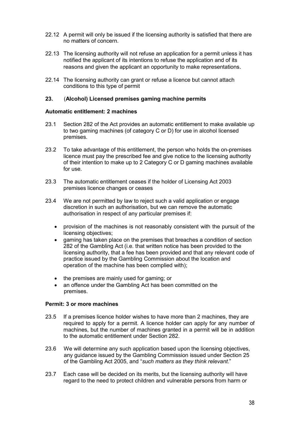- 22.12 A permit will only be issued if the licensing authority is satisfied that there are no matters of concern.
- 22.13 The licensing authority will not refuse an application for a permit unless it has notified the applicant of its intentions to refuse the application and of its reasons and given the applicant an opportunity to make representations.
- 22.14 The licensing authority can grant or refuse a licence but cannot attach conditions to this type of permit

#### 23. (Alcohol) Licensed premises gaming machine permits

#### Automatic entitlement: 2 machines

- 23.1 Section 282 of the Act provides an automatic entitlement to make available up to two gaming machines (of category C or D) for use in alcohol licensed premises.
- 23.2 To take advantage of this entitlement, the person who holds the on-premises licence must pay the prescribed fee and give notice to the licensing authority of their intention to make up to 2 Category C or D gaming machines available for use.
- 23.3 The automatic entitlement ceases if the holder of Licensing Act 2003 premises licence changes or ceases
- 23.4 We are not permitted by law to reject such a valid application or engage discretion in such an authorisation, but we can remove the automatic authorisation in respect of any particular premises if:
	- provision of the machines is not reasonably consistent with the pursuit of the licensing objectives;
	- gaming has taken place on the premises that breaches a condition of section 282 of the Gambling Act (i.e. that written notice has been provided to the licensing authority, that a fee has been provided and that any relevant code of practice issued by the Gambling Commission about the location and operation of the machine has been complied with);
	- the premises are mainly used for gaming; or
	- an offence under the Gambling Act has been committed on the premises.

#### Permit: 3 or more machines

- 23.5 If a premises licence holder wishes to have more than 2 machines, they are required to apply for a permit. A licence holder can apply for any number of machines, but the number of machines granted in a permit will be in addition to the automatic entitlement under Section 282.
- 23.6 We will determine any such application based upon the licensing objectives, any guidance issued by the Gambling Commission issued under Section 25 of the Gambling Act 2005, and "such matters as they think relevant."
- 23.7 Each case will be decided on its merits, but the licensing authority will have regard to the need to protect children and vulnerable persons from harm or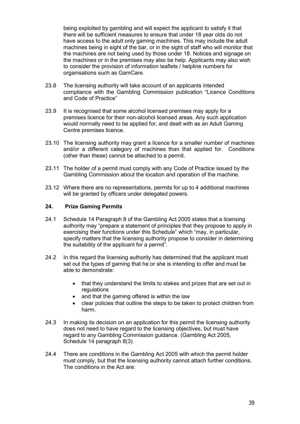being exploited by gambling and will expect the applicant to satisfy it that there will be sufficient measures to ensure that under 18 year olds do not have access to the adult only gaming machines. This may include the adult machines being in sight of the bar, or in the sight of staff who will monitor that the machines are not being used by those under 18. Notices and signage on the machines or in the premises may also be help. Applicants may also wish to consider the provision of information leaflets / helpline numbers for organisations such as GamCare.

- 23.8 The licensing authority will take account of an applicants intended compliance with the Gambling Commission publication "Licence Conditions and Code of Practice"
- 23.9 It is recognised that some alcohol licensed premises may apply for a premises licence for their non-alcohol licensed areas. Any such application would normally need to be applied for, and dealt with as an Adult Gaming Centre premises licence.
- 23.10 The licensing authority may grant a licence for a smaller number of machines and/or a different category of machines than that applied for. Conditions (other than these) cannot be attached to a permit.
- 23.11 The holder of a permit must comply with any Code of Practice issued by the Gambling Commission about the location and operation of the machine.
- 23.12 Where there are no representations, permits for up to 4 additional machines will be granted by officers under delegated powers.

#### 24. Prize Gaming Permits

- 24.1 Schedule 14 Paragraph 8 of the Gambling Act 2005 states that a licensing authority may "prepare a statement of principles that they propose to apply in exercising their functions under this Schedule" which "may, in particular, specify matters that the licensing authority propose to consider in determining the suitability of the applicant for a permit".
- 24.2 In this regard the licensing authority has determined that the applicant must set out the types of gaming that he or she is intending to offer and must be able to demonstrate:
	- that they understand the limits to stakes and prizes that are set out in regulations
	- and that the gaming offered is within the law
	- clear policies that outline the steps to be taken to protect children from harm.
- 24.3 In making its decision on an application for this permit the licensing authority does not need to have regard to the licensing objectives, but must have regard to any Gambling Commission guidance. (Gambling Act 2005, Schedule 14 paragraph 8(3).
- 24.4 There are conditions in the Gambling Act 2005 with which the permit holder must comply, but that the licensing authority cannot attach further conditions. The conditions in the Act are: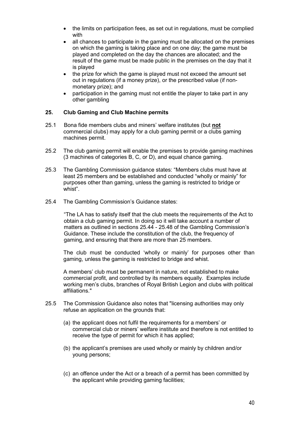- the limits on participation fees, as set out in regulations, must be complied with
- all chances to participate in the gaming must be allocated on the premises on which the gaming is taking place and on one day; the game must be played and completed on the day the chances are allocated; and the result of the game must be made public in the premises on the day that it is played
- the prize for which the game is played must not exceed the amount set out in regulations (if a money prize), or the prescribed value (if nonmonetary prize); and
- participation in the gaming must not entitle the player to take part in any other gambling

#### 25. Club Gaming and Club Machine permits

- 25.1 Bona fide members clubs and miners' welfare institutes (but not commercial clubs) may apply for a club gaming permit or a clubs gaming machines permit.
- 25.2 The club gaming permit will enable the premises to provide gaming machines (3 machines of categories B, C, or D), and equal chance gaming.
- 25.3 The Gambling Commission guidance states: "Members clubs must have at least 25 members and be established and conducted "wholly or mainly" for purposes other than gaming, unless the gaming is restricted to bridge or whist".
- 25.4 The Gambling Commission's Guidance states:

 "The LA has to satisfy itself that the club meets the requirements of the Act to obtain a club gaming permit. In doing so it will take account a number of matters as outlined in sections 25.44 - 25.48 of the Gambling Commission's Guidance. These include the constitution of the club, the frequency of gaming, and ensuring that there are more than 25 members.

The club must be conducted 'wholly or mainly' for purposes other than gaming, unless the gaming is restricted to bridge and whist.

A members' club must be permanent in nature, not established to make commercial profit, and controlled by its members equally. Examples include working men's clubs, branches of Royal British Legion and clubs with political affiliations."

- 25.5 The Commission Guidance also notes that "licensing authorities may only refuse an application on the grounds that:
	- (a) the applicant does not fulfil the requirements for a members' or commercial club or miners' welfare institute and therefore is not entitled to receive the type of permit for which it has applied;
	- (b) the applicant's premises are used wholly or mainly by children and/or young persons;
	- (c) an offence under the Act or a breach of a permit has been committed by the applicant while providing gaming facilities;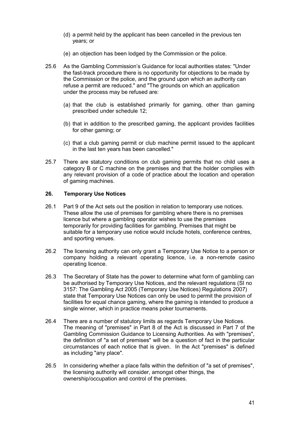- (d) a permit held by the applicant has been cancelled in the previous ten years; or
- (e) an objection has been lodged by the Commission or the police.
- 25.6 As the Gambling Commission's Guidance for local authorities states: "Under the fast-track procedure there is no opportunity for objections to be made by the Commission or the police, and the ground upon which an authority can refuse a permit are reduced." and "The grounds on which an application under the process may be refused are:
	- (a) that the club is established primarily for gaming, other than gaming prescribed under schedule 12;
	- (b) that in addition to the prescribed gaming, the applicant provides facilities for other gaming; or
	- (c) that a club gaming permit or club machine permit issued to the applicant in the last ten years has been cancelled."
- 25.7 There are statutory conditions on club gaming permits that no child uses a category B or C machine on the premises and that the holder complies with any relevant provision of a code of practice about the location and operation of gaming machines.

#### 26. Temporary Use Notices

- 26.1 Part 9 of the Act sets out the position in relation to temporary use notices. These allow the use of premises for gambling where there is no premises licence but where a gambling operator wishes to use the premises temporarily for providing facilities for gambling. Premises that might be suitable for a temporary use notice would include hotels, conference centres, and sporting venues.
- 26.2 The licensing authority can only grant a Temporary Use Notice to a person or company holding a relevant operating licence, i.e. a non-remote casino operating licence.
- 26.3 The Secretary of State has the power to determine what form of gambling can be authorised by Temporary Use Notices, and the relevant regulations (SI no 3157: The Gambling Act 2005 (Temporary Use Notices) Regulations 2007) state that Temporary Use Notices can only be used to permit the provision of facilities for equal chance gaming, where the gaming is intended to produce a single winner, which in practice means poker tournaments.
- 26.4 There are a number of statutory limits as regards Temporary Use Notices. The meaning of "premises" in Part 8 of the Act is discussed in Part 7 of the Gambling Commission Guidance to Licensing Authorities. As with "premises", the definition of "a set of premises" will be a question of fact in the particular circumstances of each notice that is given. In the Act "premises" is defined as including "any place".
- 26.5 In considering whether a place falls within the definition of "a set of premises", the licensing authority will consider, amongst other things, the ownership/occupation and control of the premises.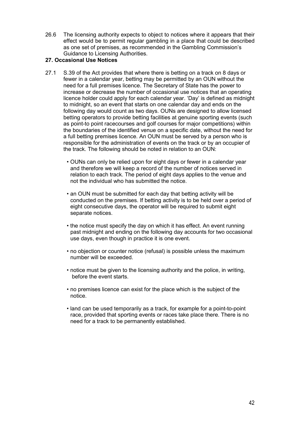26.6 The licensing authority expects to object to notices where it appears that their effect would be to permit regular gambling in a place that could be described as one set of premises, as recommended in the Gambling Commission's Guidance to Licensing Authorities.

#### 27. Occasional Use Notices

- 27.1 S.39 of the Act provides that where there is betting on a track on 8 days or fewer in a calendar year, betting may be permitted by an OUN without the need for a full premises licence. The Secretary of State has the power to increase or decrease the number of occasional use notices that an operating licence holder could apply for each calendar year. 'Day' is defined as midnight to midnight, so an event that starts on one calendar day and ends on the following day would count as two days. OUNs are designed to allow licensed betting operators to provide betting facilities at genuine sporting events (such as point-to point racecourses and golf courses for major competitions) within the boundaries of the identified venue on a specific date, without the need for a full betting premises licence. An OUN must be served by a person who is responsible for the administration of events on the track or by an occupier of the track. The following should be noted in relation to an OUN:
	- OUNs can only be relied upon for eight days or fewer in a calendar year and therefore we will keep a record of the number of notices served in relation to each track. The period of eight days applies to the venue and not the individual who has submitted the notice.
	- an OUN must be submitted for each day that betting activity will be conducted on the premises. If betting activity is to be held over a period of eight consecutive days, the operator will be required to submit eight separate notices.
	- the notice must specify the day on which it has effect. An event running past midnight and ending on the following day accounts for two occasional use days, even though in practice it is one event.
	- no objection or counter notice (refusal) is possible unless the maximum number will be exceeded.
	- notice must be given to the licensing authority and the police, in writing, before the event starts.
	- no premises licence can exist for the place which is the subject of the notice.
	- land can be used temporarily as a track, for example for a point-to-point race, provided that sporting events or races take place there. There is no need for a track to be permanently established.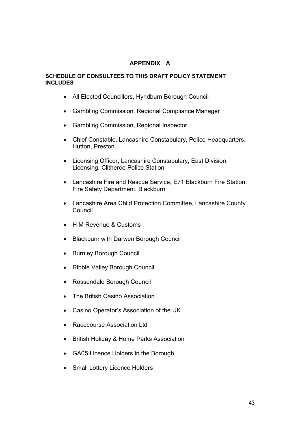#### APPENDIX A

#### SCHEDULE OF CONSULTEES TO THIS DRAFT POLICY STATEMENT **INCLUDES**

- All Elected Councillors, Hyndburn Borough Council
- Gambling Commission, Regional Compliance Manager
- Gambling Commission, Regional Inspector
- Chief Constable, Lancashire Constabulary, Police Headquarters, Hutton, Preston.
- Licensing Officer, Lancashire Constabulary, East Division Licensing, Clitheroe Police Station
- Lancashire Fire and Rescue Service, E71 Blackburn Fire Station, Fire Safety Department, Blackburn
- Lancashire Area Child Protection Committee, Lancashire County **Council**
- H M Revenue & Customs
- Blackburn with Darwen Borough Council
- **Burnley Borough Council**
- Ribble Valley Borough Council
- Rossendale Borough Council
- The British Casino Association
- Casino Operator's Association of the UK
- Racecourse Association Ltd
- British Holiday & Home Parks Association
- GA05 Licence Holders in the Borough
- Small Lottery Licence Holders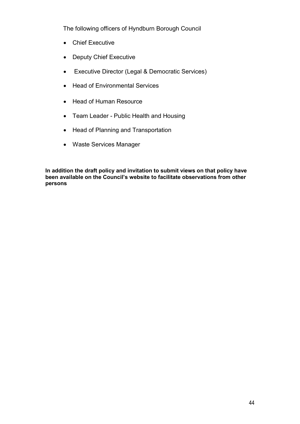The following officers of Hyndburn Borough Council

- Chief Executive
- Deputy Chief Executive
- Executive Director (Legal & Democratic Services)
- Head of Environmental Services
- Head of Human Resource
- Team Leader Public Health and Housing
- Head of Planning and Transportation
- Waste Services Manager

In addition the draft policy and invitation to submit views on that policy have been available on the Council's website to facilitate observations from other persons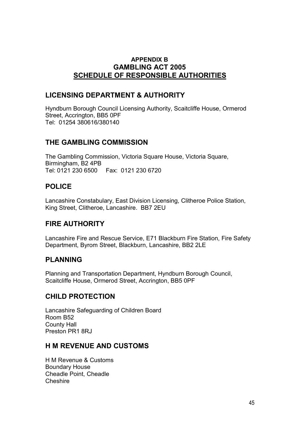# APPENDIX B GAMBLING ACT 2005 SCHEDULE OF RESPONSIBLE AUTHORITIES

# LICENSING DEPARTMENT & AUTHORITY

Hyndburn Borough Council Licensing Authority, Scaitcliffe House, Ormerod Street, Accrington, BB5 0PF Tel: 01254 380616/380140

# THE GAMBLING COMMISSION

The Gambling Commission, Victoria Square House, Victoria Square, Birmingham, B2 4PB Tel: 0121 230 6500 Fax: 0121 230 6720

# POLICE

Lancashire Constabulary, East Division Licensing, Clitheroe Police Station, King Street, Clitheroe, Lancashire. BB7 2EU

# FIRE AUTHORITY

Lancashire Fire and Rescue Service, E71 Blackburn Fire Station, Fire Safety Department, Byrom Street, Blackburn, Lancashire, BB2 2LE

# PLANNING

Planning and Transportation Department, Hyndburn Borough Council, Scaitcliffe House, Ormerod Street, Accrington, BB5 0PF

# CHILD PROTECTION

Lancashire Safeguarding of Children Board Room B52 County Hall Preston PR1 8RJ

# H M REVENUE AND CUSTOMS

H M Revenue & Customs Boundary House Cheadle Point, Cheadle Cheshire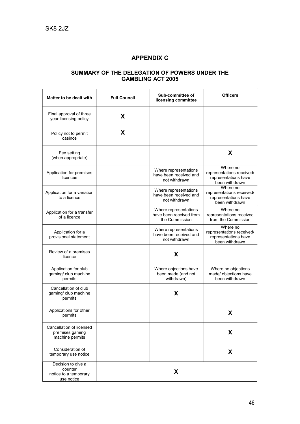# APPENDIX C

#### SUMMARY OF THE DELEGATION OF POWERS UNDER THE GAMBLING ACT 2005

| Matter to be dealt with                                              | <b>Full Council</b> | Sub-committee of<br>licensing committee                            | <b>Officers</b>                                                                 |
|----------------------------------------------------------------------|---------------------|--------------------------------------------------------------------|---------------------------------------------------------------------------------|
| Final approval of three<br>year licensing policy                     | X                   |                                                                    |                                                                                 |
| Policy not to permit<br>casinos                                      | X                   |                                                                    |                                                                                 |
| Fee setting<br>(when appropriate)                                    |                     |                                                                    | X                                                                               |
| Application for premises<br>licences                                 |                     | Where representations<br>have been received and<br>not withdrawn   | Where no<br>representations received/<br>representations have<br>been withdrawn |
| Application for a variation<br>to a licence                          |                     | Where representations<br>have been received and<br>not withdrawn   | Where no<br>representations received/<br>representations have<br>been withdrawn |
| Application for a transfer<br>of a licence                           |                     | Where representations<br>have been received from<br>the Commission | Where no<br>representations received<br>from the Commission                     |
| Application for a<br>provisional statement                           |                     | Where representations<br>have been received and<br>not withdrawn   | Where no<br>representations received/<br>representations have<br>been withdrawn |
| Review of a premises<br>licence                                      |                     | X                                                                  |                                                                                 |
| Application for club<br>gaming/ club machine<br>permits              |                     | Where objections have<br>been made (and not<br>withdrawn)          | Where no objections<br>made/ objections have<br>been withdrawn                  |
| Cancellation of club<br>gaming/ club machine<br>permits              |                     | X                                                                  |                                                                                 |
| Applications for other<br>permits                                    |                     |                                                                    | X                                                                               |
| Cancellation of licensed<br>premises gaming<br>machine permits       |                     |                                                                    | X                                                                               |
| Consideration of<br>temporary use notice                             |                     |                                                                    | X                                                                               |
| Decision to give a<br>counter<br>notice to a temporary<br>use notice |                     | X                                                                  |                                                                                 |